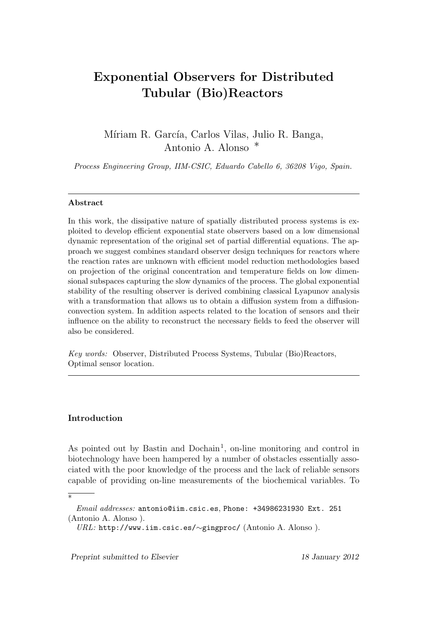# **Exponential Observers for Distributed Tubular (Bio)Reactors**

Míriam R. García, Carlos Vilas, Julio R. Banga, Antonio A. Alonso *∗*

*Process Engineering Group, IIM-CSIC, Eduardo Cabello 6, 36208 Vigo, Spain.*

### **Abstract**

In this work, the dissipative nature of spatially distributed process systems is exploited to develop efficient exponential state observers based on a low dimensional dynamic representation of the original set of partial differential equations. The approach we suggest combines standard observer design techniques for reactors where the reaction rates are unknown with efficient model reduction methodologies based on projection of the original concentration and temperature fields on low dimensional subspaces capturing the slow dynamics of the process. The global exponential stability of the resulting observer is derived combining classical Lyapunov analysis with a transformation that allows us to obtain a diffusion system from a diffusionconvection system. In addition aspects related to the location of sensors and their influence on the ability to reconstruct the necessary fields to feed the observer will also be considered.

*Key words:* Observer, Distributed Process Systems, Tubular (Bio)Reactors, Optimal sensor location.

## **Introduction**

*∗*

As pointed out by Bastin and Dochain<sup>1</sup>, on-line monitoring and control in biotechnology have been hampered by a number of obstacles essentially associated with the poor knowledge of the process and the lack of reliable sensors capable of providing on-line measurements of the biochemical variables. To

*Preprint submitted to Elsevier 18 January 2012*

*Email addresses:* antonio@iim.csic.es, Phone: +34986231930 Ext. 251 (Antonio A. Alonso ).

*URL:* http://www.iim.csic.es/*∼*gingproc/ (Antonio A. Alonso ).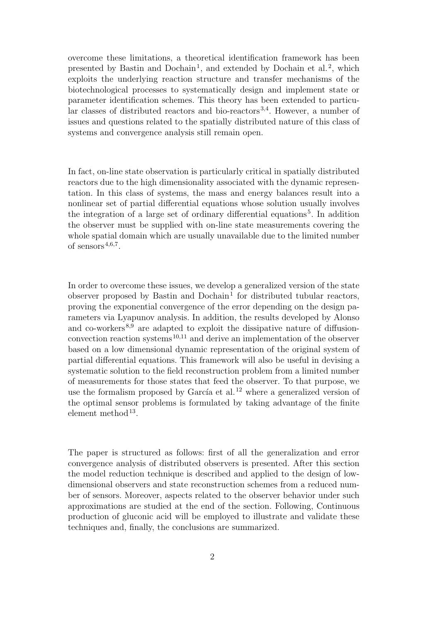overcome these limitations, a theoretical identification framework has been presented by Bastin and Dochain<sup>1</sup>, and extended by Dochain et al.<sup>2</sup>, which exploits the underlying reaction structure and transfer mechanisms of the biotechnological processes to systematically design and implement state or parameter identification schemes. This theory has been extended to particular classes of distributed reactors and bio-reactors 3,4. However, a number of issues and questions related to the spatially distributed nature of this class of systems and convergence analysis still remain open.

In fact, on-line state observation is particularly critical in spatially distributed reactors due to the high dimensionality associated with the dynamic representation. In this class of systems, the mass and energy balances result into a nonlinear set of partial differential equations whose solution usually involves the integration of a large set of ordinary differential equations<sup>5</sup>. In addition the observer must be supplied with on-line state measurements covering the whole spatial domain which are usually unavailable due to the limited number of sensors<sup> $4,6,7$ </sup>.

In order to overcome these issues, we develop a generalized version of the state observer proposed by Bastin and  $Dochain<sup>1</sup>$  for distributed tubular reactors, proving the exponential convergence of the error depending on the design parameters via Lyapunov analysis. In addition, the results developed by Alonso and co-workers<sup>8,9</sup> are adapted to exploit the dissipative nature of diffusionconvection reaction systems 10,11 and derive an implementation of the observer based on a low dimensional dynamic representation of the original system of partial differential equations. This framework will also be useful in devising a systematic solution to the field reconstruction problem from a limited number of measurements for those states that feed the observer. To that purpose, we use the formalism proposed by García et al.<sup>12</sup> where a generalized version of the optimal sensor problems is formulated by taking advantage of the finite  $element$  method<sup>13</sup>.

The paper is structured as follows: first of all the generalization and error convergence analysis of distributed observers is presented. After this section the model reduction technique is described and applied to the design of lowdimensional observers and state reconstruction schemes from a reduced number of sensors. Moreover, aspects related to the observer behavior under such approximations are studied at the end of the section. Following, Continuous production of gluconic acid will be employed to illustrate and validate these techniques and, finally, the conclusions are summarized.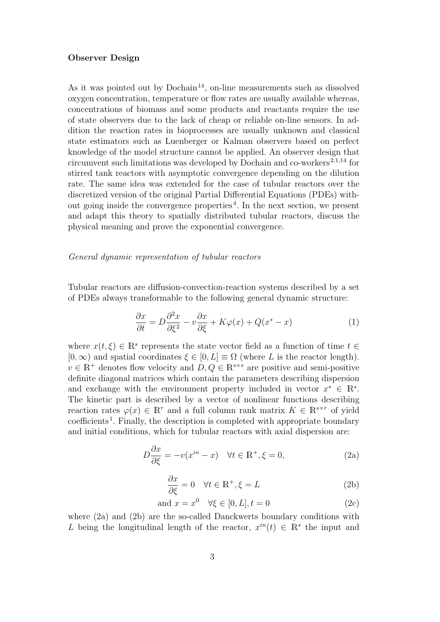## **Observer Design**

As it was pointed out by Dochain<sup>14</sup>, on-line measurements such as dissolved oxygen concentration, temperature or flow rates are usually available whereas, concentrations of biomass and some products and reactants require the use of state observers due to the lack of cheap or reliable on-line sensors. In addition the reaction rates in bioprocesses are usually unknown and classical state estimators such as Luenberger or Kalman observers based on perfect knowledge of the model structure cannot be applied. An observer design that circumvent such limitations was developed by Dochain and co-workers 2,1,14 for stirred tank reactors with asymptotic convergence depending on the dilution rate. The same idea was extended for the case of tubular reactors over the discretized version of the original Partial Differential Equations (PDEs) without going inside the convergence properties <sup>4</sup> . In the next section, we present and adapt this theory to spatially distributed tubular reactors, discuss the physical meaning and prove the exponential convergence.

## *General dynamic representation of tubular reactors*

Tubular reactors are diffusion-convection-reaction systems described by a set of PDEs always transformable to the following general dynamic structure:

$$
\frac{\partial x}{\partial t} = D \frac{\partial^2 x}{\partial \xi^2} - v \frac{\partial x}{\partial \xi} + K \varphi(x) + Q(x^* - x)
$$
(1)

where  $x(t,\xi) \in \mathbb{R}^s$  represents the state vector field as a function of time  $t \in$  $[0, \infty)$  and spatial coordinates  $\xi \in [0, L] \equiv \Omega$  (where *L* is the reactor length).  $v \in \mathbb{R}^+$  denotes flow velocity and  $D, Q \in \mathbb{R}^{s \times s}$  are positive and semi-positive definite diagonal matrices which contain the parameters describing dispersion and exchange with the environment property included in vector  $x^* \in \mathbb{R}^s$ . The kinetic part is described by a vector of nonlinear functions describing reaction rates  $\varphi(x) \in \mathbb{R}^r$  and a full column rank matrix  $K \in \mathbb{R}^{s \times r}$  of yield coefficients<sup>1</sup>. Finally, the description is completed with appropriate boundary and initial conditions, which for tubular reactors with axial dispersion are:

$$
D\frac{\partial x}{\partial \xi} = -v(x^{in} - x) \quad \forall t \in \mathbb{R}^+, \xi = 0,
$$
\n(2a)

$$
\frac{\partial x}{\partial \xi} = 0 \quad \forall t \in \mathbb{R}^+, \xi = L \tag{2b}
$$

$$
and x = x^0 \quad \forall \xi \in [0, L], t = 0 \tag{2c}
$$

where (2a) and (2b) are the so-called Danckwerts boundary conditions with *L* being the longitudinal length of the reactor,  $x^{in}(t) \in \mathbb{R}^s$  the input and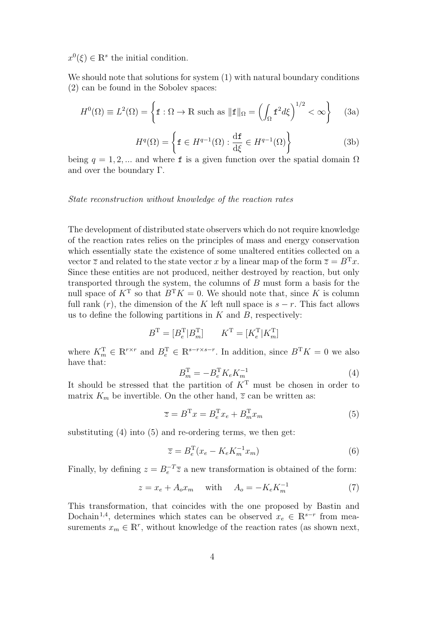$x^0(\xi) \in \mathbb{R}^s$  the initial condition.

We should note that solutions for system (1) with natural boundary conditions (2) can be found in the Sobolev spaces:

$$
H^{0}(\Omega) \equiv L^{2}(\Omega) = \left\{ \mathbf{f} : \Omega \to \mathbb{R} \text{ such as } ||\mathbf{f}||_{\Omega} = \left( \int_{\Omega} \mathbf{f}^{2} d\xi \right)^{1/2} < \infty \right\} \tag{3a}
$$

$$
H^{q}(\Omega) = \left\{ \mathbf{f} \in H^{q-1}(\Omega) : \frac{\mathrm{d}\mathbf{f}}{\mathrm{d}\xi} \in H^{q-1}(\Omega) \right\} \tag{3b}
$$

being  $q = 1, 2, ...$  and where f is a given function over the spatial domain  $\Omega$ and over the boundary Γ.

## *State reconstruction without knowledge of the reaction rates*

The development of distributed state observers which do not require knowledge of the reaction rates relies on the principles of mass and energy conservation which essentially state the existence of some unaltered entities collected on a vector  $\overline{z}$  and related to the state vector *x* by a linear map of the form  $\overline{z} = B^{T}x$ . Since these entities are not produced, neither destroyed by reaction, but only transported through the system, the columns of *B* must form a basis for the null space of  $K^T$  so that  $B^T K = 0$ . We should note that, since K is column full rank  $(r)$ , the dimension of the *K* left null space is  $s - r$ . This fact allows us to define the following partitions in *K* and *B*, respectively:

$$
B^{\mathrm{T}} = [B_e^{\mathrm{T}} | B_m^{\mathrm{T}}] \qquad K^{\mathrm{T}} = [K_e^{\mathrm{T}} | K_m^{\mathrm{T}}]
$$

where  $K_m^{\mathrm{T}} \in \mathbb{R}^{r \times r}$  and  $B_e^{\mathrm{T}} \in \mathbb{R}^{s-r \times s-r}$ . In addition, since  $B^{\mathrm{T}} K = 0$  we also have that:

$$
B_m^{\rm T} = -B_e^{\rm T} K_e K_m^{-1}
$$
 (4)

It should be stressed that the partition of *K*<sup>T</sup> must be chosen in order to matrix  $K_m$  be invertible. On the other hand,  $\overline{z}$  can be written as:

$$
\overline{z} = B^{\mathrm{T}} x = B_e^{\mathrm{T}} x_e + B_m^{\mathrm{T}} x_m \tag{5}
$$

substituting  $(4)$  into  $(5)$  and re-ordering terms, we then get:

$$
\overline{z} = B_e^{\mathrm{T}}(x_e - K_e K_m^{-1} x_m)
$$
\n<sup>(6)</sup>

Finally, by defining  $z = B_e^{-T} \overline{z}$  a new transformation is obtained of the form:

$$
z = x_e + A_o x_m \quad \text{with} \quad A_o = -K_e K_m^{-1} \tag{7}
$$

This transformation, that coincides with the one proposed by Bastin and Dochain<sup>1,4</sup>, determines which states can be observed  $x_e \in \mathbb{R}^{s-r}$  from measurements  $x_m \in \mathbb{R}^r$ , without knowledge of the reaction rates (as shown next,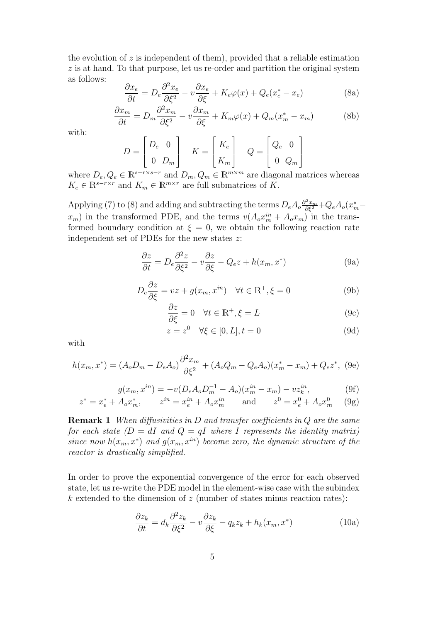the evolution of  $z$  is independent of them), provided that a reliable estimation *z* is at hand. To that purpose, let us re-order and partition the original system as follows:

$$
\frac{\partial x_e}{\partial t} = D_e \frac{\partial^2 x_e}{\partial \xi^2} - v \frac{\partial x_e}{\partial \xi} + K_e \varphi(x) + Q_e(x_e^* - x_e)
$$
 (8a)

$$
\frac{\partial x_m}{\partial t} = D_m \frac{\partial^2 x_m}{\partial \xi^2} - v \frac{\partial x_m}{\partial \xi} + K_m \varphi(x) + Q_m (x_m^* - x_m)
$$
(8b)

with:

$$
D = \begin{bmatrix} D_e & 0 \\ 0 & D_m \end{bmatrix} \quad K = \begin{bmatrix} K_e \\ K_m \end{bmatrix} \quad Q = \begin{bmatrix} Q_e & 0 \\ 0 & Q_m \end{bmatrix}
$$

where  $D_e, Q_e \in \mathbb{R}^{s-r \times s-r}$  and  $D_m, Q_m \in \mathbb{R}^{m \times m}$  are diagonal matrices whereas  $K_e \in \mathbb{R}^{s - r \times r}$  and  $K_m \in \mathbb{R}^{m \times r}$  are full submatrices of *K*.

Applying (7) to (8) and adding and subtracting the terms  $D_e A_o \frac{\partial^2 x_m}{\partial \xi^2} + Q_e A_o (x_m^*$ *x<sub>m</sub>*) in the transformed PDE, and the terms  $v(A_0x_m^{in} + A_0x_m)$  in the transformed boundary condition at  $\xi = 0$ , we obtain the following reaction rate independent set of PDEs for the new states *z*:

$$
\frac{\partial z}{\partial t} = D_e \frac{\partial^2 z}{\partial \xi^2} - v \frac{\partial z}{\partial \xi} - Q_e z + h(x_m, x^*)
$$
(9a)

$$
D_e \frac{\partial z}{\partial \xi} = vz + g(x_m, x^{in}) \quad \forall t \in \mathbb{R}^+, \xi = 0 \tag{9b}
$$

$$
\frac{\partial z}{\partial \xi} = 0 \quad \forall t \in \mathbb{R}^+, \xi = L \tag{9c}
$$

$$
z = z^0 \quad \forall \xi \in [0, L], t = 0 \tag{9d}
$$

with

$$
h(x_m, x^*) = (A_o D_m - D_e A_o) \frac{\partial^2 x_m}{\partial \xi^2} + (A_o Q_m - Q_e A_o)(x_m^* - x_m) + Q_e z^*,
$$
 (9e)

$$
g(x_m, x^{in}) = -v(D_e A_o D_m^{-1} - A_o)(x_m^{in} - x_m) - vz_k^{in},
$$
\n
$$
g(x_m, x^{in}) = -v(D_e A_o D_m^{-1} - A_o)(x_m^{in} - x_m) - vz_k^{in},
$$
\n(9f)

$$
z^* = x_e^* + A_o x_m^*,
$$
  $z^{in} = x_e^{in} + A_o x_m^{in}$  and  $z^0 = x_e^0 + A_o x_m^0$  (9g)

**Remark 1** *When diffusivities in D and transfer coefficients in Q are the same for each state*  $(D = dI \text{ and } Q = qI \text{ where } I \text{ represents the identity matrix}$ *since now*  $h(x_m, x^*)$  and  $g(x_m, x^{in})$  become zero, the dynamic structure of the *reactor is drastically simplified.*

In order to prove the exponential convergence of the error for each observed state, let us re-write the PDE model in the element-wise case with the subindex *k* extended to the dimension of *z* (number of states minus reaction rates):

$$
\frac{\partial z_k}{\partial t} = d_k \frac{\partial^2 z_k}{\partial \xi^2} - v \frac{\partial z_k}{\partial \xi} - q_k z_k + h_k(x_m, x^*)
$$
(10a)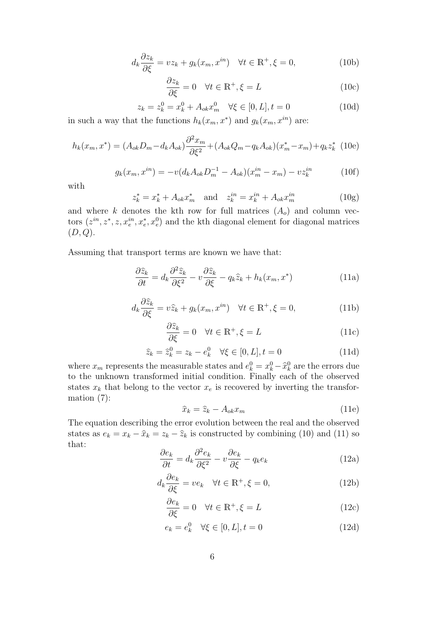$$
d_k \frac{\partial z_k}{\partial \xi} = vz_k + g_k(x_m, x^{in}) \quad \forall t \in \mathbb{R}^+, \xi = 0,
$$
 (10b)

$$
\frac{\partial z_k}{\partial \xi} = 0 \quad \forall t \in \mathbb{R}^+, \xi = L \tag{10c}
$$

$$
z_k = z_k^0 = x_k^0 + A_{ok} x_m^0 \quad \forall \xi \in [0, L], t = 0
$$
\n(10d)

in such a way that the functions  $h_k(x_m, x^*)$  and  $g_k(x_m, x^{in})$  are:

$$
h_k(x_m, x^*) = (A_{ok}D_m - d_kA_{ok})\frac{\partial^2 x_m}{\partial \xi^2} + (A_{ok}Q_m - q_kA_{ok})(x_m^* - x_m) + q_kz_k^*
$$
 (10e)

$$
g_k(x_m, x^{in}) = -v(d_k A_{ok} D_m^{-1} - A_{ok})(x_m^{in} - x_m) - vz_k^{in}
$$
 (10f)

with

$$
z_k^* = x_k^* + A_{ok} x_m^* \quad \text{and} \quad z_k^{in} = x_k^{in} + A_{ok} x_m^{in}
$$
 (10g)

and where *k* denotes the kth row for full matrices  $(A<sub>o</sub>)$  and column vectors  $(z^{in}, z^*, z, x_e^{in}, x_e^*, x_e^0)$  and the kth diagonal element for diagonal matrices (*D, Q*).

Assuming that transport terms are known we have that:

$$
\frac{\partial \hat{z}_k}{\partial t} = d_k \frac{\partial^2 \hat{z}_k}{\partial \xi^2} - v \frac{\partial \hat{z}_k}{\partial \xi} - q_k \hat{z}_k + h_k(x_m, x^*)
$$
(11a)

$$
d_k \frac{\partial \hat{z}_k}{\partial \xi} = v \hat{z}_k + g_k(x_m, x^{in}) \quad \forall t \in \mathbb{R}^+, \xi = 0,
$$
 (11b)

$$
\frac{\partial \hat{z}_k}{\partial \xi} = 0 \quad \forall t \in \mathbb{R}^+, \xi = L \tag{11c}
$$

$$
\widehat{z}_k = \widehat{z}_k^0 = z_k - e_k^0 \quad \forall \xi \in [0, L], t = 0 \tag{11d}
$$

where  $x_m$  represents the measurable states and  $e_k^0 = x_k^0 - \hat{x}_k^0$  are the errors due to the unknown transformed initial condition. Finally each of the observed states  $x_k$  that belong to the vector  $x_e$  is recovered by inverting the transformation (7):

$$
\hat{x}_k = \hat{z}_k - A_{ok} x_m \tag{11e}
$$

The equation describing the error evolution between the real and the observed states as  $e_k = x_k - \hat{x}_k = z_k - \hat{z}_k$  is constructed by combining (10) and (11) so that:

$$
\frac{\partial e_k}{\partial t} = d_k \frac{\partial^2 e_k}{\partial \xi^2} - v \frac{\partial e_k}{\partial \xi} - q_k e_k \tag{12a}
$$

$$
d_k \frac{\partial e_k}{\partial \xi} = v e_k \quad \forall t \in \mathbb{R}^+, \xi = 0,
$$
\n(12b)

$$
\frac{\partial e_k}{\partial \xi} = 0 \quad \forall t \in \mathbb{R}^+, \xi = L \tag{12c}
$$

$$
e_k = e_k^0 \quad \forall \xi \in [0, L], t = 0 \tag{12d}
$$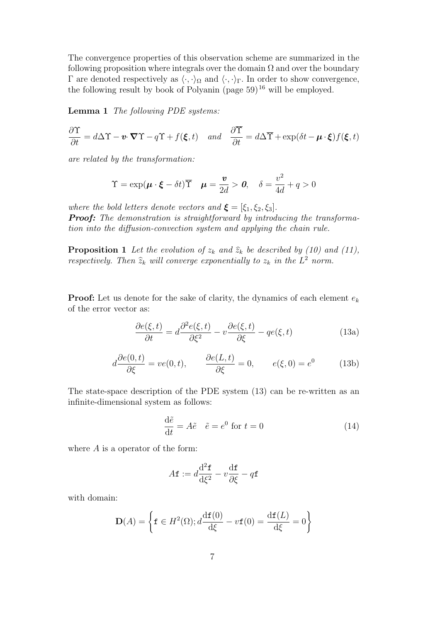The convergence properties of this observation scheme are summarized in the following proposition where integrals over the domain  $\Omega$  and over the boundary Γ are denoted respectively as  $\langle \cdot, \cdot \rangle_{\Omega}$  and  $\langle \cdot, \cdot \rangle_{\Gamma}$ . In order to show convergence, the following result by book of Polyanin (page 59)<sup>16</sup> will be employed.

**Lemma 1** *The following PDE systems:*

$$
\frac{\partial \Upsilon}{\partial t} = d\Delta \Upsilon - \mathbf{v} \cdot \nabla \Upsilon - q\Upsilon + f(\boldsymbol{\xi}, t) \quad and \quad \frac{\partial \overline{\Upsilon}}{\partial t} = d\Delta \overline{\Upsilon} + \exp(\delta t - \boldsymbol{\mu} \cdot \boldsymbol{\xi}) f(\boldsymbol{\xi}, t)
$$

*are related by the transformation:*

$$
\Upsilon = \exp(\boldsymbol{\mu} \cdot \boldsymbol{\xi} - \delta t) \overline{\Upsilon} \quad \boldsymbol{\mu} = \frac{\boldsymbol{v}}{2d} > \boldsymbol{0}, \quad \delta = \frac{v^2}{4d} + q > 0
$$

*where the bold letters denote vectors and*  $\xi = [\xi_1, \xi_2, \xi_3]$ *. Proof:* The demonstration is straightforward by introducing the transforma*tion into the diffusion-convection system and applying the chain rule.*

**Proposition 1** *Let the evolution of*  $z_k$  *and*  $\hat{z}_k$  *be described by (10) and (11), respectively. Then*  $\hat{z}_k$  *will converge exponentially to*  $z_k$  *in the*  $L^2$  *norm.* 

**Proof:** Let us denote for the sake of clarity, the dynamics of each element *e<sup>k</sup>* of the error vector as:

$$
\frac{\partial e(\xi, t)}{\partial t} = d \frac{\partial^2 e(\xi, t)}{\partial \xi^2} - v \frac{\partial e(\xi, t)}{\partial \xi} - q e(\xi, t)
$$
(13a)

$$
d\frac{\partial e(0,t)}{\partial \xi} = ve(0,t), \qquad \frac{\partial e(L,t)}{\partial \xi} = 0, \qquad e(\xi,0) = e^0 \tag{13b}
$$

The state-space description of the PDE system (13) can be re-written as an infinite-dimensional system as follows:

$$
\frac{\mathrm{d}\tilde{e}}{\mathrm{d}t} = A\tilde{e} \quad \tilde{e} = e^0 \text{ for } t = 0 \tag{14}
$$

where *A* is a operator of the form:

$$
A\mathbf{f} := d\frac{\mathrm{d}^2\mathbf{f}}{\mathrm{d}\xi^2} - v\frac{\mathrm{d}\mathbf{f}}{\partial\xi} - q\mathbf{f}
$$

with domain:

$$
\mathbf{D}(A) = \left\{ \mathbf{f} \in H^2(\Omega); d \frac{\mathrm{d}\mathbf{f}(0)}{\mathrm{d}\xi} - v\mathbf{f}(0) = \frac{\mathrm{d}\mathbf{f}(L)}{\mathrm{d}\xi} = 0 \right\}
$$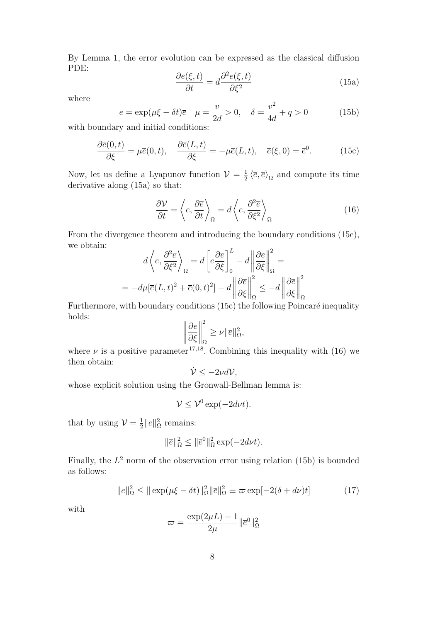By Lemma 1, the error evolution can be expressed as the classical diffusion PDE:

$$
\frac{\partial \overline{e}(\xi, t)}{\partial t} = d \frac{\partial^2 \overline{e}(\xi, t)}{\partial \xi^2}
$$
(15a)

where

$$
e = \exp(\mu \xi - \delta t)\overline{e}
$$
  $\mu = \frac{v}{2d} > 0$ ,  $\delta = \frac{v^2}{4d} + q > 0$  (15b)

with boundary and initial conditions:

$$
\frac{\partial \overline{e}(0,t)}{\partial \xi} = \mu \overline{e}(0,t), \quad \frac{\partial \overline{e}(L,t)}{\partial \xi} = -\mu \overline{e}(L,t), \quad \overline{e}(\xi,0) = \overline{e}^0.
$$
 (15c)

Now, let us define a Lyapunov function  $\mathcal{V} = \frac{1}{2}$  $\frac{1}{2} \langle \overline{e}, \overline{e} \rangle_{\Omega}$  and compute its time derivative along (15a) so that:

$$
\frac{\partial V}{\partial t} = \left\langle \overline{e}, \frac{\partial \overline{e}}{\partial t} \right\rangle_{\Omega} = d \left\langle \overline{e}, \frac{\partial^2 \overline{e}}{\partial \xi^2} \right\rangle_{\Omega} \tag{16}
$$

From the divergence theorem and introducing the boundary conditions (15c), we obtain:

$$
d\left\langle \overline{e}, \frac{\partial^2 \overline{e}}{\partial \xi^2} \right\rangle_{\Omega} = d\left[ \overline{e} \frac{\partial \overline{e}}{\partial \xi} \right]_{0}^{L} - d \left\| \frac{\partial \overline{e}}{\partial \xi} \right\|_{\Omega}^{2} =
$$
  
= 
$$
-d\mu [\overline{e}(L, t)^2 + \overline{e}(0, t)^2] - d \left\| \frac{\partial \overline{e}}{\partial \xi} \right\|_{\Omega}^{2} \leq -d \left\| \frac{\partial \overline{e}}{\partial \xi} \right\|_{\Omega}^{2}
$$

Furthermore, with boundary conditions (15c) the following Poincaré inequality holds:

$$
\left\|\frac{\partial \overline{e}}{\partial \xi}\right\|_{\Omega}^2 \geq \nu \|\overline{e}\|_{\Omega}^2,
$$

where  $\nu$  is a positive parameter <sup>17,18</sup>. Combining this inequality with (16) we then obtain:

$$
\dot{\mathcal{V}} \leq -2\nu d\mathcal{V},
$$

whose explicit solution using the Gronwall-Bellman lemma is:

$$
\mathcal{V} \le \mathcal{V}^0 \exp(-2d\nu t).
$$

that by using  $\mathcal{V} = \frac{1}{2}$  $\frac{1}{2}$ || $\overline{e}$ || $\frac{2}{\Omega}$  remains:

$$
\|\overline{e}\|_{\Omega}^2 \le \|\overline{e}^0\|_{\Omega}^2 \exp(-2d\nu t).
$$

Finally, the  $L^2$  norm of the observation error using relation  $(15b)$  is bounded as follows:

$$
||e||_{\Omega}^{2} \le ||\exp(\mu\xi - \delta t)||_{\Omega}^{2} ||\overline{e}||_{\Omega}^{2} \equiv \varpi \exp[-2(\delta + d\nu)t] \tag{17}
$$

with

$$
\varpi = \frac{\exp(2\mu L) - 1}{2\mu} \|\overline{e}^0\|_{\Omega}^2
$$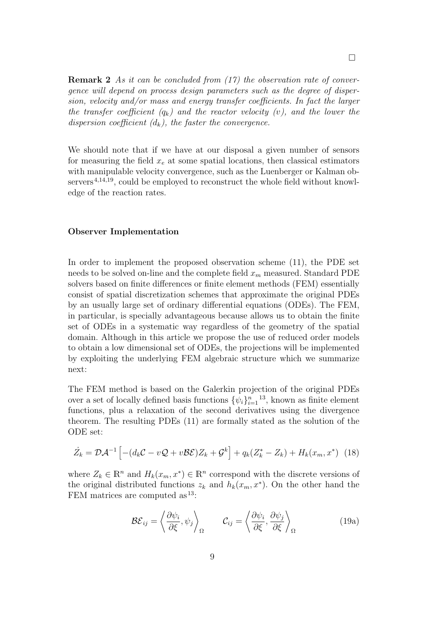**Remark 2** *As it can be concluded from (17) the observation rate of convergence will depend on process design parameters such as the degree of dispersion, velocity and/or mass and energy transfer coefficients. In fact the larger the transfer coefficient*  $(q_k)$  and the reactor velocity  $(v)$ , and the lower the *dispersion coefficient (dk), the faster the convergence.*

We should note that if we have at our disposal a given number of sensors for measuring the field  $x_e$  at some spatial locations, then classical estimators with manipulable velocity convergence, such as the Luenberger or Kalman observers<sup>4,14,19</sup>, could be employed to reconstruct the whole field without knowledge of the reaction rates.

#### **Observer Implementation**

In order to implement the proposed observation scheme (11), the PDE set needs to be solved on-line and the complete field *x<sup>m</sup>* measured. Standard PDE solvers based on finite differences or finite element methods (FEM) essentially consist of spatial discretization schemes that approximate the original PDEs by an usually large set of ordinary differential equations (ODEs). The FEM, in particular, is specially advantageous because allows us to obtain the finite set of ODEs in a systematic way regardless of the geometry of the spatial domain. Although in this article we propose the use of reduced order models to obtain a low dimensional set of ODEs, the projections will be implemented by exploiting the underlying FEM algebraic structure which we summarize next:

The FEM method is based on the Galerkin projection of the original PDEs over a set of locally defined basis functions  $\{\psi_i\}_{i=1}^n$  <sup>13</sup>, known as finite element functions, plus a relaxation of the second derivatives using the divergence theorem. The resulting PDEs (11) are formally stated as the solution of the ODE set:

$$
\dot{Z}_k = \mathcal{D}\mathcal{A}^{-1} \left[ -(d_k \mathcal{C} - v\mathcal{Q} + v\mathcal{B}\mathcal{E})Z_k + \mathcal{G}^k \right] + q_k(Z_k^* - Z_k) + H_k(x_m, x^*) \tag{18}
$$

where  $Z_k \in \mathbb{R}^n$  and  $H_k(x_m, x^*) \in \mathbb{R}^n$  correspond with the discrete versions of the original distributed functions  $z_k$  and  $h_k(x_m, x^*)$ . On the other hand the FEM matrices are computed as <sup>13</sup>:

$$
\mathcal{BE}_{ij} = \left\langle \frac{\partial \psi_i}{\partial \xi}, \psi_j \right\rangle_{\Omega} \qquad \mathcal{C}_{ij} = \left\langle \frac{\partial \psi_i}{\partial \xi}, \frac{\partial \psi_j}{\partial \xi} \right\rangle_{\Omega} \qquad (19a)
$$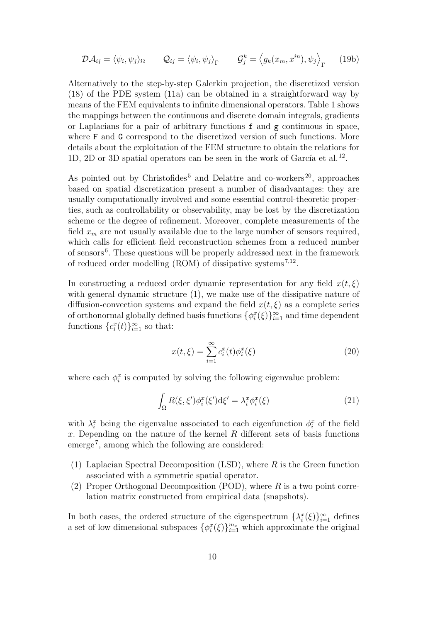$$
\mathcal{D}\mathcal{A}_{ij} = \langle \psi_i, \psi_j \rangle_{\Omega} \qquad \mathcal{Q}_{ij} = \langle \psi_i, \psi_j \rangle_{\Gamma} \qquad \mathcal{G}_j^k = \langle g_k(x_m, x^{in}), \psi_j \rangle_{\Gamma} \qquad (19b)
$$

Alternatively to the step-by-step Galerkin projection, the discretized version (18) of the PDE system (11a) can be obtained in a straightforward way by means of the FEM equivalents to infinite dimensional operators. Table 1 shows the mappings between the continuous and discrete domain integrals, gradients or Laplacians for a pair of arbitrary functions  $f$  and  $g$  continuous in space, where F and G correspond to the discretized version of such functions. More details about the exploitation of the FEM structure to obtain the relations for 1D, 2D or 3D spatial operators can be seen in the work of García et al.<sup>12</sup>.

As pointed out by Christofides<sup>5</sup> and Delattre and co-workers<sup>20</sup>, approaches based on spatial discretization present a number of disadvantages: they are usually computationally involved and some essential control-theoretic properties, such as controllability or observability, may be lost by the discretization scheme or the degree of refinement. Moreover, complete measurements of the field  $x_m$  are not usually available due to the large number of sensors required, which calls for efficient field reconstruction schemes from a reduced number of sensors<sup>6</sup>. These questions will be properly addressed next in the framework of reduced order modelling  $(ROM)$  of dissipative systems<sup>7,12</sup>.

In constructing a reduced order dynamic representation for any field  $x(t,\xi)$ with general dynamic structure  $(1)$ , we make use of the dissipative nature of diffusion-convection systems and expand the field  $x(t,\xi)$  as a complete series of orthonormal globally defined basis functions  $\{\phi_i^x(\xi)\}_{i=1}^\infty$  and time dependent functions  ${c_i^x(t)}_{i=1}^\infty$  so that:

$$
x(t,\xi) = \sum_{i=1}^{\infty} c_i^x(t)\phi_i^x(\xi)
$$
\n(20)

where each  $\phi_i^x$  is computed by solving the following eigenvalue problem:

$$
\int_{\Omega} R(\xi, \xi') \phi_i^x(\xi') d\xi' = \lambda_i^x \phi_i^x(\xi)
$$
\n(21)

with  $\lambda_i^x$  being the eigenvalue associated to each eigenfunction  $\phi_i^x$  of the field *x*. Depending on the nature of the kernel *R* different sets of basis functions emerge<sup>7</sup> , among which the following are considered:

- (1) Laplacian Spectral Decomposition (LSD), where *R* is the Green function associated with a symmetric spatial operator.
- (2) Proper Orthogonal Decomposition (POD), where *R* is a two point correlation matrix constructed from empirical data (snapshots).

In both cases, the ordered structure of the eigenspectrum  $\{\lambda_i^x(\xi)\}_{i=1}^\infty$  defines a set of low dimensional subspaces  $\{\phi_i^x(\xi)\}_{i=1}^{m_x}$  which approximate the original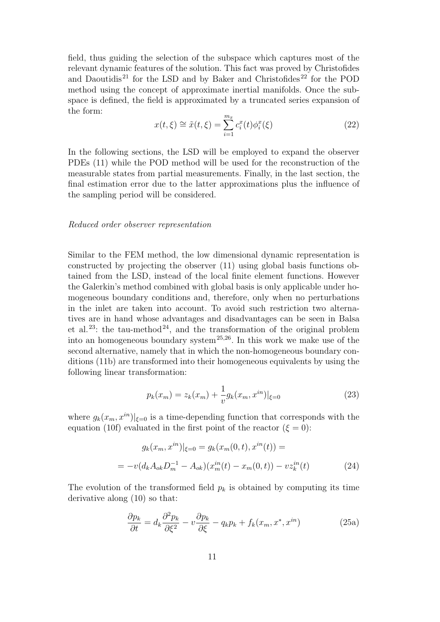field, thus guiding the selection of the subspace which captures most of the relevant dynamic features of the solution. This fact was proved by Christofides and Daoutidis<sup>21</sup> for the LSD and by Baker and Christofides<sup>22</sup> for the POD method using the concept of approximate inertial manifolds. Once the subspace is defined, the field is approximated by a truncated series expansion of the form:

$$
x(t,\xi) \cong \tilde{x}(t,\xi) = \sum_{i=1}^{m_x} c_i^x(t)\phi_i^x(\xi)
$$
\n(22)

In the following sections, the LSD will be employed to expand the observer PDEs (11) while the POD method will be used for the reconstruction of the measurable states from partial measurements. Finally, in the last section, the final estimation error due to the latter approximations plus the influence of the sampling period will be considered.

#### *Reduced order observer representation*

Similar to the FEM method, the low dimensional dynamic representation is constructed by projecting the observer (11) using global basis functions obtained from the LSD, instead of the local finite element functions. However the Galerkin's method combined with global basis is only applicable under homogeneous boundary conditions and, therefore, only when no perturbations in the inlet are taken into account. To avoid such restriction two alternatives are in hand whose advantages and disadvantages can be seen in Balsa et al.<sup>23</sup>: the tau-method<sup>24</sup>, and the transformation of the original problem into an homogeneous boundary system<sup>25,26</sup>. In this work we make use of the second alternative, namely that in which the non-homogeneous boundary conditions (11b) are transformed into their homogeneous equivalents by using the following linear transformation:

$$
p_k(x_m) = z_k(x_m) + \frac{1}{v} g_k(x_m, x^{in})|_{\xi=0}
$$
\n(23)

where  $g_k(x_m, x^{in})|_{\xi=0}$  is a time-depending function that corresponds with the equation (10f) evaluated in the first point of the reactor  $(\xi = 0)$ :

$$
g_k(x_m, x^{in})|_{\xi=0} = g_k(x_m(0, t), x^{in}(t)) =
$$
  
=  $-v(d_k A_{ok} D_m^{-1} - A_{ok})(x_m^{in}(t) - x_m(0, t)) - vz_k^{in}(t)$  (24)

The evolution of the transformed field  $p_k$  is obtained by computing its time derivative along (10) so that:

$$
\frac{\partial p_k}{\partial t} = d_k \frac{\partial^2 p_k}{\partial \xi^2} - v \frac{\partial p_k}{\partial \xi} - q_k p_k + f_k(x_m, x^*, x^{in})
$$
(25a)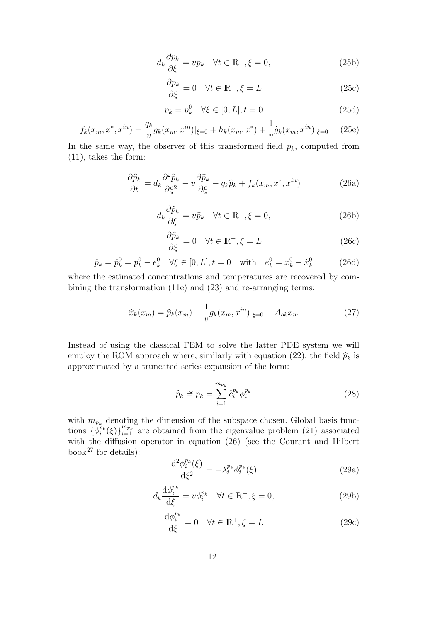$$
d_k \frac{\partial p_k}{\partial \xi} = v p_k \quad \forall t \in \mathbb{R}^+, \xi = 0,
$$
\n(25b)

$$
\frac{\partial p_k}{\partial \xi} = 0 \quad \forall t \in \mathbb{R}^+, \xi = L \tag{25c}
$$

$$
p_k = p_k^0 \quad \forall \xi \in [0, L], t = 0 \tag{25d}
$$

$$
f_k(x_m, x^*, x^{in}) = \frac{q_k}{v} g_k(x_m, x^{in})|_{\xi=0} + h_k(x_m, x^*) + \frac{1}{v} \dot{g}_k(x_m, x^{in})|_{\xi=0} \tag{25e}
$$

In the same way, the observer of this transformed field  $p_k$ , computed from (11), takes the form:

$$
\frac{\partial \widehat{p}_k}{\partial t} = d_k \frac{\partial^2 \widehat{p}_k}{\partial \xi^2} - v \frac{\partial \widehat{p}_k}{\partial \xi} - q_k \widehat{p}_k + f_k(x_m, x^*, x^{in}) \tag{26a}
$$

$$
d_k \frac{\partial \widehat{p}_k}{\partial \xi} = v \widehat{p}_k \quad \forall t \in \mathbb{R}^+, \xi = 0,
$$
\n(26b)

$$
\frac{\partial \widehat{p}_k}{\partial \xi} = 0 \quad \forall t \in \mathbb{R}^+, \xi = L \tag{26c}
$$

$$
\widehat{p}_k = \widehat{p}_k^0 = p_k^0 - e_k^0 \quad \forall \xi \in [0, L], t = 0 \quad \text{with} \quad e_k^0 = x_k^0 - \widehat{x}_k^0 \tag{26d}
$$

where the estimated concentrations and temperatures are recovered by combining the transformation (11e) and (23) and re-arranging terms:

$$
\hat{x}_k(x_m) = \hat{p}_k(x_m) - \frac{1}{v} g_k(x_m, x^{in})|_{\xi=0} - A_{ok} x_m
$$
\n(27)

Instead of using the classical FEM to solve the latter PDE system we will employ the ROM approach where, similarly with equation (22), the field  $\hat{p}_k$  is approximated by a truncated series expansion of the form:

$$
\widehat{p}_k \cong \widetilde{p}_k = \sum_{i=1}^{m_{p_k}} \widehat{c}_i^{p_k} \phi_i^{p_k} \tag{28}
$$

with  $m_{p_k}$  denoting the dimension of the subspace chosen. Global basis functions  $\{\phi_i^{p_k}(\xi)\}_{i=1}^{m_{p_k}}$  are obtained from the eigenvalue problem (21) associated with the diffusion operator in equation (26) (see the Courant and Hilbert book<sup>27</sup> for details):

$$
\frac{\mathrm{d}^2 \phi_i^{p_k}(\xi)}{\mathrm{d}\xi^2} = -\lambda_i^{p_k} \phi_i^{p_k}(\xi) \tag{29a}
$$

$$
d_k \frac{\mathrm{d}\phi_i^{p_k}}{\mathrm{d}\xi} = v\phi_i^{p_k} \quad \forall t \in \mathbb{R}^+, \xi = 0,
$$
\n(29b)

$$
\frac{\mathrm{d}\phi_i^{p_k}}{\mathrm{d}\xi} = 0 \quad \forall t \in \mathbb{R}^+, \xi = L \tag{29c}
$$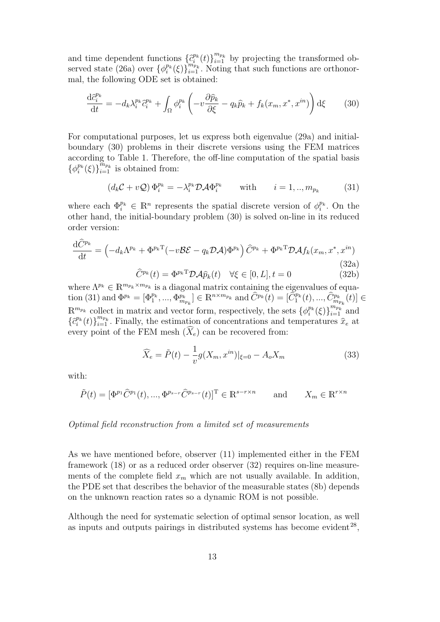and time dependent functions  $\{\hat{c}_i^{p_k}(t)\}_{i=1}^{m_{p_k}}$  by projecting the transformed observed state (26a) over  $\{\phi_i^{p_k}(\xi)\}_{i=1}^{m_{p_k}}$ . Noting that such functions are orthonormal, the following ODE set is obtained:

$$
\frac{\mathrm{d}\hat{c}_{i}^{p_{k}}}{\mathrm{d}t} = -d_{k}\lambda_{i}^{p_{k}}\hat{c}_{i}^{p_{k}} + \int_{\Omega} \phi_{i}^{p_{k}} \left( -v\frac{\partial \hat{p}_{k}}{\partial \xi} - q_{k}\hat{p}_{k} + f_{k}(x_{m}, x^{*}, x^{in}) \right) \mathrm{d}\xi \tag{30}
$$

For computational purposes, let us express both eigenvalue (29a) and initialboundary (30) problems in their discrete versions using the FEM matrices according to Table 1. Therefore, the off-line computation of the spatial basis  ${\phi_i^{p_k}(\xi)}_{i=1}^{m_{p_k}}$  is obtained from:

$$
(d_k \mathcal{C} + v \mathcal{Q}) \Phi_i^{p_k} = -\lambda_i^{p_k} \mathcal{D} \mathcal{A} \Phi_i^{p_k} \quad \text{with} \quad i = 1,..,m_{p_k} \quad (31)
$$

where each  $\Phi_i^{p_k} \in \mathbb{R}^n$  represents the spatial discrete version of  $\phi_i^{p_k}$ . On the other hand, the initial-boundary problem (30) is solved on-line in its reduced order version:

$$
\frac{\mathrm{d}\widehat{C}^{p_k}}{\mathrm{d}t} = \left(-d_k\Lambda^{p_k} + \Phi^{p_k \mathrm{T}}(-v\mathcal{B}\mathcal{E} - q_k \mathcal{D}\mathcal{A})\Phi^{p_k}\right)\widehat{C}^{p_k} + \Phi^{p_k \mathrm{T}}\mathcal{D}\mathcal{A}f_k(x_m, x^*, x^{in})\tag{32a}
$$

$$
\hat{C}^{p_k}(t) = \Phi^{p_k \mathsf{T}} \mathcal{D} \mathcal{A} \hat{p}_k(t) \quad \forall \xi \in [0, L], t = 0 \tag{32b}
$$

where  $\Lambda^{p_k} \in \mathbb{R}^{m_{p_k} \times m_{p_k}}$  is a diagonal matrix containing the eigenvalues of equation (31) and  $\Phi^{p_k} = [\Phi_1^{p_k}, ..., \Phi_{m_{p_k}}^{p_k}] \in \mathbb{R}^{n \times m_{p_k}}$  and  $\hat{C}^{p_k}(t) = [\hat{C}_1^{p_k}(t), ..., \hat{C}_{m_{p_k}}^{p_k}(t)] \in$  $\mathbb{R}^{m_{p_k}}$  collect in matrix and vector form, respectively, the sets  $\{\phi_i^{p_k}(\xi)\}_{i=1}^{m_{p_k}}$  and  $\{\hat{c}_i^{p_k}(t)\}_{i=1}^{m_{p_k}}$ . Finally, the estimation of concentrations and temperatures  $\hat{x}_e$  at every point of the FEM mesh  $(\widehat{X}_e)$  can be recovered from:

$$
\widehat{X}_e = \tilde{P}(t) - \frac{1}{v} g(X_m, x^{in})|_{\xi=0} - A_o X_m
$$
\n(33)

with:

$$
\tilde{P}(t) = [\Phi^{p_1} \hat{C}^{p_1}(t), ..., \Phi^{p_{s-r}} \hat{C}^{p_{s-r}}(t)]^{\mathrm{T}} \in \mathbb{R}^{s-r \times n} \quad \text{and} \quad X_m \in \mathbb{R}^{r \times n}
$$

## *Optimal field reconstruction from a limited set of measurements*

As we have mentioned before, observer (11) implemented either in the FEM framework (18) or as a reduced order observer (32) requires on-line measurements of the complete field  $x_m$  which are not usually available. In addition, the PDE set that describes the behavior of the measurable states (8b) depends on the unknown reaction rates so a dynamic ROM is not possible.

Although the need for systematic selection of optimal sensor location, as well as inputs and outputs pairings in distributed systems has become evident $^{28}$ ,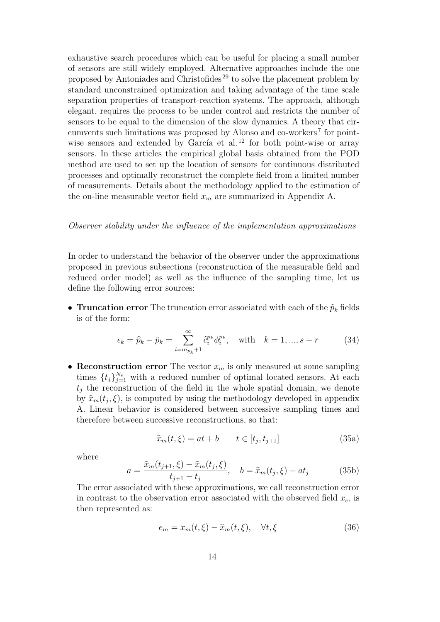exhaustive search procedures which can be useful for placing a small number of sensors are still widely employed. Alternative approaches include the one proposed by Antoniades and Christofides <sup>29</sup> to solve the placement problem by standard unconstrained optimization and taking advantage of the time scale separation properties of transport-reaction systems. The approach, although elegant, requires the process to be under control and restricts the number of sensors to be equal to the dimension of the slow dynamics. A theory that circumvents such limitations was proposed by Alonso and co-workers<sup>7</sup> for pointwise sensors and extended by García et al.<sup>12</sup> for both point-wise or array sensors. In these articles the empirical global basis obtained from the POD method are used to set up the location of sensors for continuous distributed processes and optimally reconstruct the complete field from a limited number of measurements. Details about the methodology applied to the estimation of the on-line measurable vector field  $x_m$  are summarized in Appendix A.

#### *Observer stability under the influence of the implementation approximations*

In order to understand the behavior of the observer under the approximations proposed in previous subsections (reconstruction of the measurable field and reduced order model) as well as the influence of the sampling time, let us define the following error sources:

• **Truncation error** The truncation error associated with each of the  $\tilde{p}_k$  fields is of the form:

$$
\epsilon_k = \hat{p}_k - \tilde{p}_k = \sum_{i=m_{p_k}+1}^{\infty} \hat{c}_i^{p_k} \phi_i^{p_k}, \text{ with } k = 1, ..., s-r
$$
 (34)

*•* **Reconstruction error** The vector *x<sup>m</sup>* is only measured at some sampling times  $\{t_j\}_{j=1}^{N_s}$  with a reduced number of optimal located sensors. At each *t<sup>j</sup>* the reconstruction of the field in the whole spatial domain, we denote by  $\hat{x}_m(t_j, \xi)$ , is computed by using the methodology developed in appendix A. Linear behavior is considered between successive sampling times and therefore between successive reconstructions, so that:

$$
\widehat{x}_m(t,\xi) = at + b \qquad t \in [t_j, t_{j+1}] \tag{35a}
$$

where

$$
a = \frac{\hat{x}_m(t_{j+1}, \xi) - \hat{x}_m(t_j, \xi)}{t_{j+1} - t_j}, \quad b = \hat{x}_m(t_j, \xi) - at_j \tag{35b}
$$

The error associated with these approximations, we call reconstruction error in contrast to the observation error associated with the observed field  $x_e$ , is then represented as:

$$
e_m = x_m(t,\xi) - \hat{x}_m(t,\xi), \quad \forall t,\xi \tag{36}
$$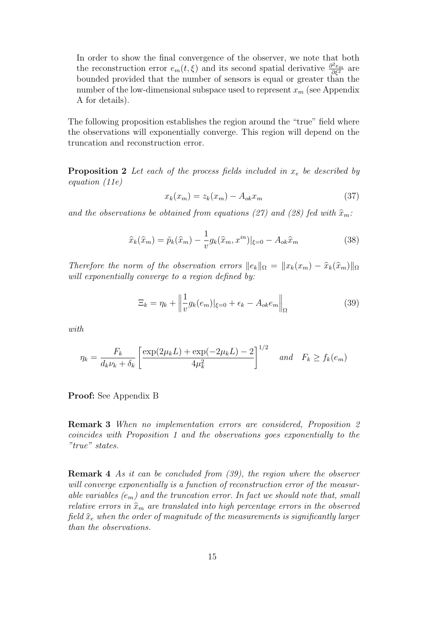In order to show the final convergence of the observer, we note that both the reconstruction error  $e_m(t,\xi)$  and its second spatial derivative  $\frac{\partial^2 e_m}{\partial \xi^2}$  are bounded provided that the number of sensors is equal or greater than the number of the low-dimensional subspace used to represent *x<sup>m</sup>* (see Appendix A for details).

The following proposition establishes the region around the "true" field where the observations will exponentially converge. This region will depend on the truncation and reconstruction error.

**Proposition 2** *Let each of the process fields included in x<sup>e</sup> be described by equation (11e)*

$$
x_k(x_m) = z_k(x_m) - A_{ok}x_m \tag{37}
$$

and the observations be obtained from equations (27) and (28) fed with  $\hat{x}_m$ .

$$
\widehat{x}_{k}(\widehat{x}_{m}) = \widetilde{p}_{k}(\widehat{x}_{m}) - \frac{1}{v}g_{k}(\widehat{x}_{m}, x^{in})|_{\xi=0} - A_{ok}\widehat{x}_{m}
$$
\n(38)

*Therefore the norm of the observation errors*  $||e_k||_{\Omega} = ||x_k(x_m) - \hat{x}_k(\hat{x}_m)||_{\Omega}$ *will exponentially converge to a region defined by:*

$$
\Xi_k = \eta_k + \left\| \frac{1}{v} g_k(e_m) \right\|_{\xi=0} + \epsilon_k - A_{ok} e_m \right\|_{\Omega} \tag{39}
$$

*with*

$$
\eta_k = \frac{F_k}{d_k \nu_k + \delta_k} \left[ \frac{\exp(2\mu_k L) + \exp(-2\mu_k L) - 2}{4\mu_k^2} \right]^{1/2} \quad \text{and} \quad F_k \ge f_k(e_m)
$$

**Proof:** See Appendix B

**Remark 3** *When no implementation errors are considered, Proposition 2 coincides with Proposition 1 and the observations goes exponentially to the "true" states.*

**Remark 4** *As it can be concluded from (39), the region where the observer will converge exponentially is a function of reconstruction error of the measurable variables*  $(e_m)$  and the truncation error. In fact we should note that, small *relative errors in*  $\hat{x}_m$  *are translated into high percentage errors in the observed field*  $\hat{x}_e$  *when the order of magnitude of the measurements is significantly larger than the observations.*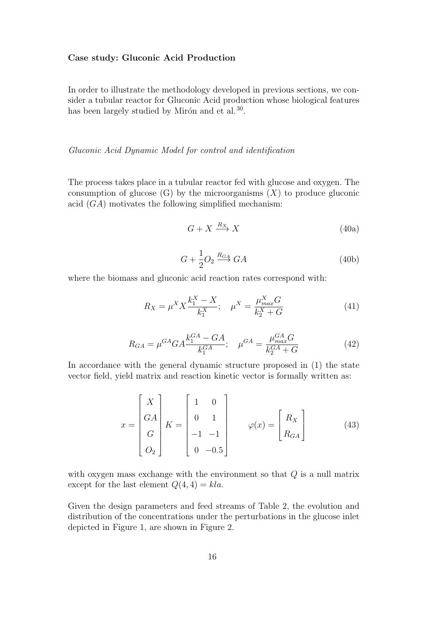### **Case study: Gluconic Acid Production**

In order to illustrate the methodology developed in previous sections, we consider a tubular reactor for Gluconic Acid production whose biological features has been largely studied by Mirón and et al.<sup>30</sup>.

## *Gluconic Acid Dynamic Model for control and identification*

The process takes place in a tubular reactor fed with glucose and oxygen. The consumption of glucose  $(G)$  by the microorganisms  $(X)$  to produce gluconic acid (*GA*) motivates the following simplified mechanism:

$$
G + X \xrightarrow{R_X} X \tag{40a}
$$

$$
G + \frac{1}{2}O_2 \xrightarrow{R_{GA}} GA \tag{40b}
$$

where the biomass and gluconic acid reaction rates correspond with:

$$
R_X = \mu^X X \frac{k_1^X - X}{k_1^X}; \quad \mu^X = \frac{\mu_{max}^X G}{k_2^X + G}
$$
(41)

$$
R_{GA} = \mu^{GA} G A \frac{k_1^{GA} - G A}{k_1^{GA}}; \quad \mu^{GA} = \frac{\mu_{max}^{GA} G}{k_2^{GA} + G}
$$
(42)

In accordance with the general dynamic structure proposed in (1) the state vector field, yield matrix and reaction kinetic vector is formally written as:

$$
x = \begin{bmatrix} X \\ GA \\ G \\ O_2 \end{bmatrix} K = \begin{bmatrix} 1 & 0 \\ 0 & 1 \\ -1 & -1 \\ 0 & -0.5 \end{bmatrix} \qquad \varphi(x) = \begin{bmatrix} R_X \\ R_{GA} \end{bmatrix}
$$
(43)

with oxygen mass exchange with the environment so that *Q* is a null matrix except for the last element  $Q(4, 4) = kla$ .

Given the design parameters and feed streams of Table 2, the evolution and distribution of the concentrations under the perturbations in the glucose inlet depicted in Figure 1, are shown in Figure 2.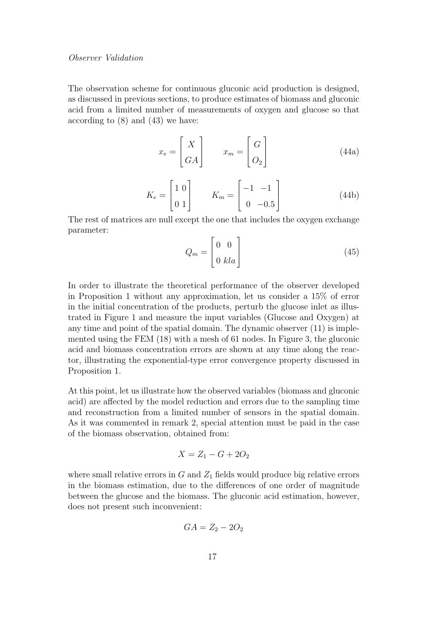#### *Observer Validation*

The observation scheme for continuous gluconic acid production is designed, as discussed in previous sections, to produce estimates of biomass and gluconic acid from a limited number of measurements of oxygen and glucose so that according to (8) and (43) we have:

$$
x_e = \begin{bmatrix} X \\ GA \end{bmatrix} \qquad x_m = \begin{bmatrix} G \\ O_2 \end{bmatrix} \tag{44a}
$$

$$
K_e = \begin{bmatrix} 1 & 0 \\ 0 & 1 \end{bmatrix} \qquad K_m = \begin{bmatrix} -1 & -1 \\ 0 & -0.5 \end{bmatrix} \tag{44b}
$$

The rest of matrices are null except the one that includes the oxygen exchange parameter:

$$
Q_m = \begin{bmatrix} 0 & 0 \\ 0 & kla \end{bmatrix} \tag{45}
$$

In order to illustrate the theoretical performance of the observer developed in Proposition 1 without any approximation, let us consider a 15% of error in the initial concentration of the products, perturb the glucose inlet as illustrated in Figure 1 and measure the input variables (Glucose and Oxygen) at any time and point of the spatial domain. The dynamic observer (11) is implemented using the FEM (18) with a mesh of 61 nodes. In Figure 3, the gluconic acid and biomass concentration errors are shown at any time along the reactor, illustrating the exponential-type error convergence property discussed in Proposition 1.

At this point, let us illustrate how the observed variables (biomass and gluconic acid) are affected by the model reduction and errors due to the sampling time and reconstruction from a limited number of sensors in the spatial domain. As it was commented in remark 2, special attention must be paid in the case of the biomass observation, obtained from:

$$
X = Z_1 - G + 2O_2
$$

where small relative errors in  $G$  and  $Z_1$  fields would produce big relative errors in the biomass estimation, due to the differences of one order of magnitude between the glucose and the biomass. The gluconic acid estimation, however, does not present such inconvenient:

$$
GA = Z_2 - 2O_2
$$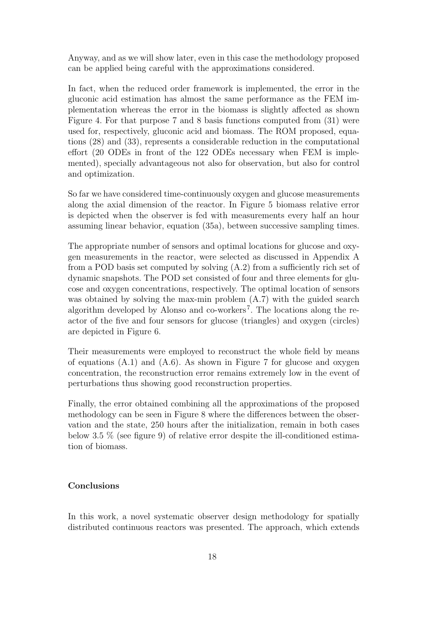Anyway, and as we will show later, even in this case the methodology proposed can be applied being careful with the approximations considered.

In fact, when the reduced order framework is implemented, the error in the gluconic acid estimation has almost the same performance as the FEM implementation whereas the error in the biomass is slightly affected as shown Figure 4. For that purpose 7 and 8 basis functions computed from (31) were used for, respectively, gluconic acid and biomass. The ROM proposed, equations (28) and (33), represents a considerable reduction in the computational effort (20 ODEs in front of the 122 ODEs necessary when FEM is implemented), specially advantageous not also for observation, but also for control and optimization.

So far we have considered time-continuously oxygen and glucose measurements along the axial dimension of the reactor. In Figure 5 biomass relative error is depicted when the observer is fed with measurements every half an hour assuming linear behavior, equation (35a), between successive sampling times.

The appropriate number of sensors and optimal locations for glucose and oxygen measurements in the reactor, were selected as discussed in Appendix A from a POD basis set computed by solving (A.2) from a sufficiently rich set of dynamic snapshots. The POD set consisted of four and three elements for glucose and oxygen concentrations, respectively. The optimal location of sensors was obtained by solving the max-min problem (A.7) with the guided search algorithm developed by Alonso and co-workers<sup>7</sup>. The locations along the reactor of the five and four sensors for glucose (triangles) and oxygen (circles) are depicted in Figure 6.

Their measurements were employed to reconstruct the whole field by means of equations  $(A.1)$  and  $(A.6)$ . As shown in Figure 7 for glucose and oxygen concentration, the reconstruction error remains extremely low in the event of perturbations thus showing good reconstruction properties.

Finally, the error obtained combining all the approximations of the proposed methodology can be seen in Figure 8 where the differences between the observation and the state, 250 hours after the initialization, remain in both cases below 3.5 % (see figure 9) of relative error despite the ill-conditioned estimation of biomass.

## **Conclusions**

In this work, a novel systematic observer design methodology for spatially distributed continuous reactors was presented. The approach, which extends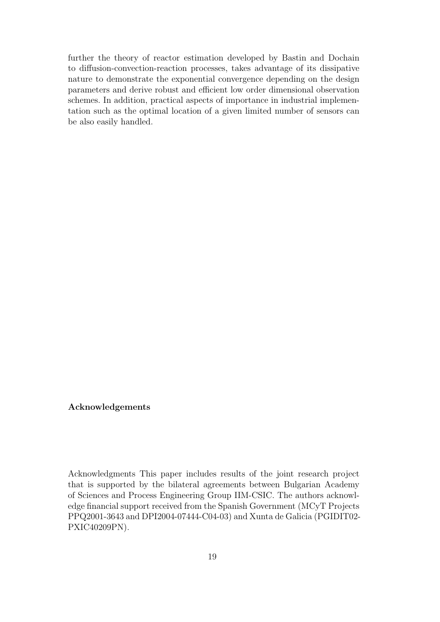further the theory of reactor estimation developed by Bastin and Dochain to diffusion-convection-reaction processes, takes advantage of its dissipative nature to demonstrate the exponential convergence depending on the design parameters and derive robust and efficient low order dimensional observation schemes. In addition, practical aspects of importance in industrial implementation such as the optimal location of a given limited number of sensors can be also easily handled.

## **Acknowledgements**

Acknowledgments This paper includes results of the joint research project that is supported by the bilateral agreements between Bulgarian Academy of Sciences and Process Engineering Group IIM-CSIC. The authors acknowledge financial support received from the Spanish Government (MCyT Projects PPQ2001-3643 and DPI2004-07444-C04-03) and Xunta de Galicia (PGIDIT02- PXIC40209PN).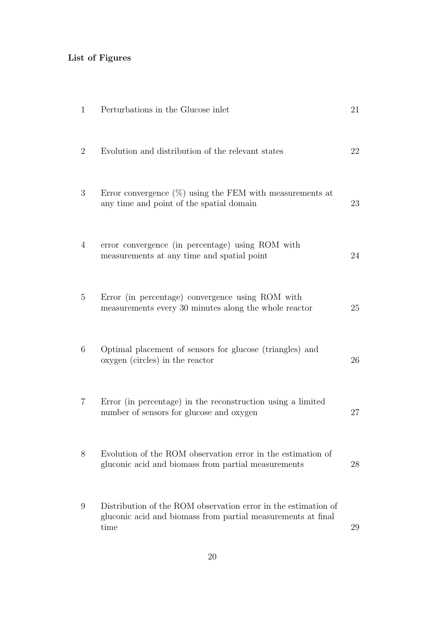## **List of Figures**

| 1              | Perturbations in the Glucose inlet                                                                                                     | 21 |
|----------------|----------------------------------------------------------------------------------------------------------------------------------------|----|
| $\overline{2}$ | Evolution and distribution of the relevant states                                                                                      | 22 |
| 3              | Error convergence $(\%)$ using the FEM with measurements at<br>any time and point of the spatial domain                                | 23 |
| $\overline{4}$ | error convergence (in percentage) using ROM with<br>measurements at any time and spatial point                                         | 24 |
| 5              | Error (in percentage) convergence using ROM with<br>measurements every 30 minutes along the whole reactor                              | 25 |
| 6              | Optimal placement of sensors for glucose (triangles) and<br>oxygen (circles) in the reactor                                            | 26 |
| $\overline{7}$ | Error (in percentage) in the reconstruction using a limited<br>number of sensors for glucose and oxygen                                | 27 |
| 8              | Evolution of the ROM observation error in the estimation of<br>gluconic acid and biomass from partial measurements                     | 28 |
| 9              | Distribution of the ROM observation error in the estimation of<br>gluconic acid and biomass from partial measurements at final<br>time | 29 |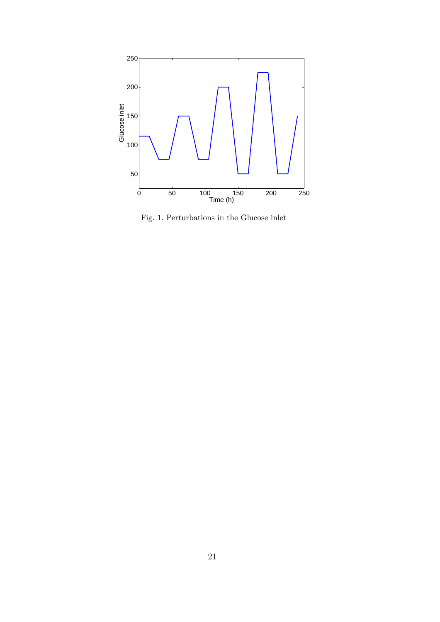

Fig. 1. Perturbations in the Glucose inlet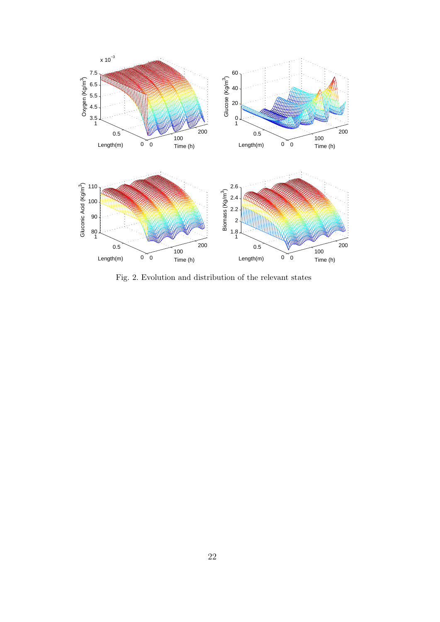

Fig. 2. Evolution and distribution of the relevant states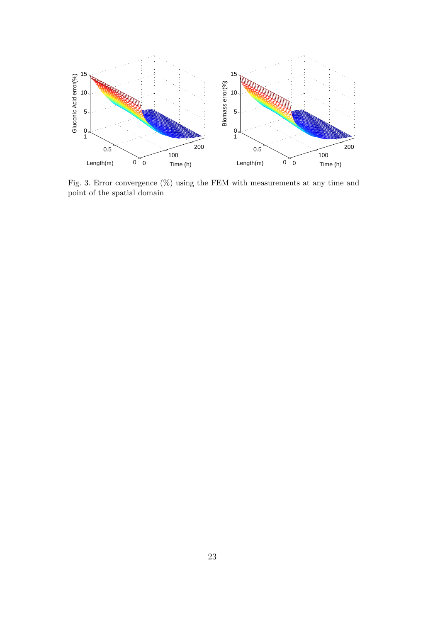

Fig. 3. Error convergence  $(\%)$  using the FEM with measurements at any time and point of the spatial domain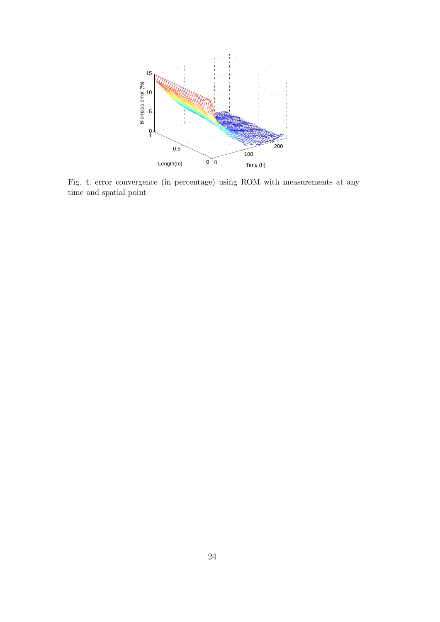

Fig. 4. error convergence (in percentage) using ROM with measurements at any time and spatial point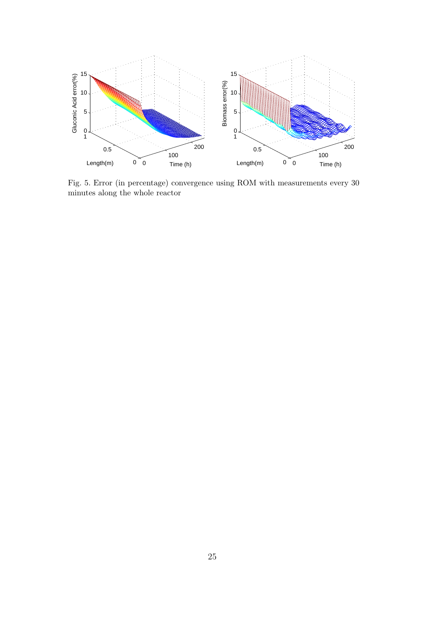

Fig. 5. Error (in percentage) convergence using ROM with measurements every 30 minutes along the whole reactor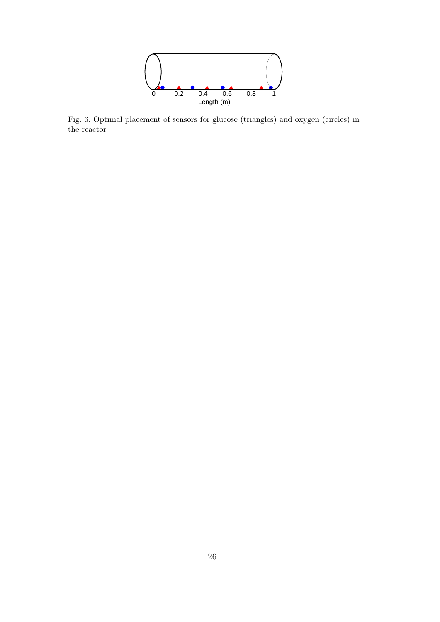

Fig. 6. Optimal placement of sensors for glucose (triangles) and oxygen (circles) in the reactor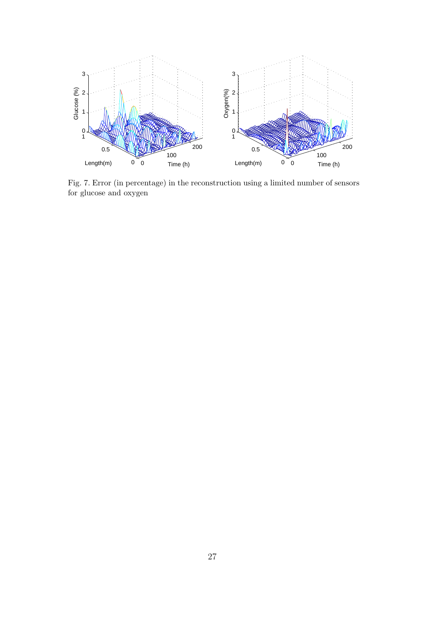

Fig. 7. Error (in percentage) in the reconstruction using a limited number of sensors for glucose and oxygen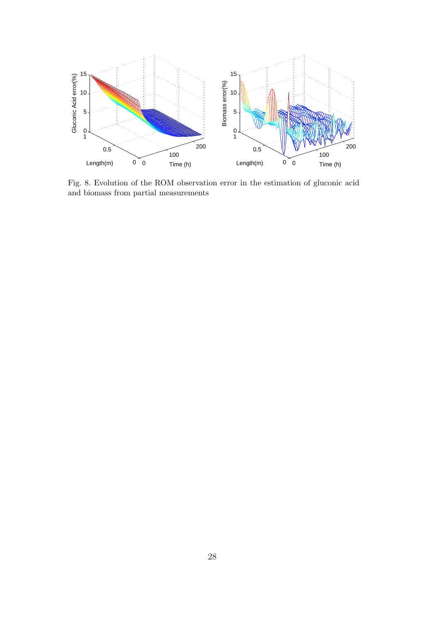

Fig. 8. Evolution of the ROM observation error in the estimation of gluconic acid and biomass from partial measurements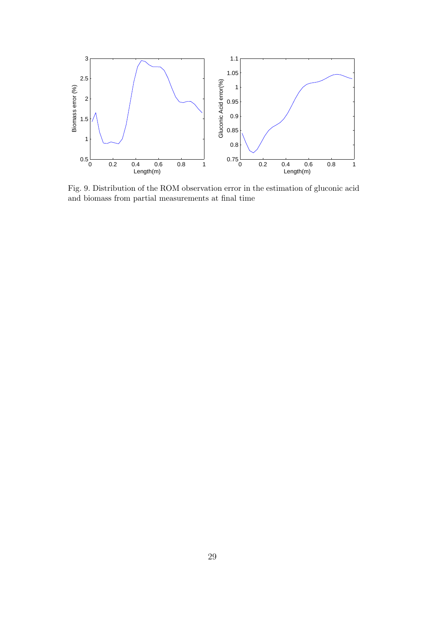

Fig. 9. Distribution of the ROM observation error in the estimation of gluconic acid and biomass from partial measurements at final time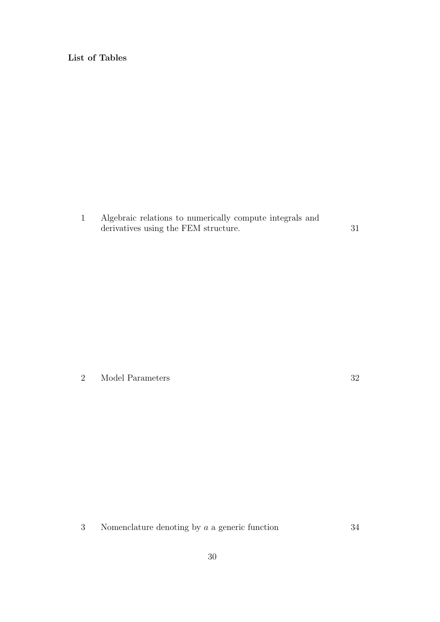**List of Tables**

1 Algebraic relations to numerically compute integrals and derivatives using the FEM structure.  $31$ 

2 Model Parameters 32

3 Nomenclature denoting by *a* a generic function 34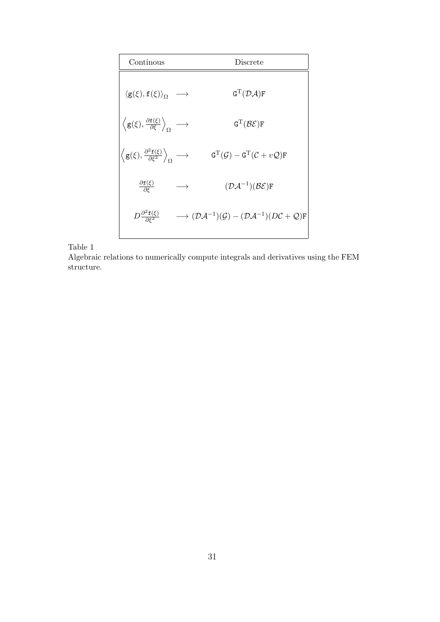| Continous                                                                                                     |                   | Discrete                                                                                                              |
|---------------------------------------------------------------------------------------------------------------|-------------------|-----------------------------------------------------------------------------------------------------------------------|
| $\langle \mathbf{g}(\xi), \mathbf{f}(\xi) \rangle_{\Omega} \longrightarrow$                                   |                   | $\mathtt{G}^{\mathrm{T}}(\mathcal{D}\mathcal{A})\mathtt{F}$                                                           |
| $\langle \mathsf{g}(\xi), \frac{\partial \mathsf{f}(\xi)}{\partial \xi} \rangle_{\Omega} \longrightarrow$     |                   | $\texttt{G}^{\text{T}}(\mathcal{B}\mathcal{E})\texttt{F}$                                                             |
| $\langle \mathsf{g}(\xi), \frac{\partial^2 \mathsf{f}(\xi)}{\partial \xi^2} \rangle_{\Omega} \longrightarrow$ |                   | $\texttt{G}^\text{T}(\mathcal{G}) - \texttt{G}^\text{T}(\mathcal{C}+v\mathcal{Q})\texttt{F}$                          |
| $\frac{\partial \mathbf{f}(\xi)}{\partial \xi}$                                                               | $\longrightarrow$ | $(\mathcal{D}A^{-1})(\mathcal{B}\mathcal{E})F$                                                                        |
| $D\frac{\partial^2 f(\xi)}{\partial \xi^2}$                                                                   |                   | $\longrightarrow (\mathcal{D}\mathcal{A}^{-1})(\mathcal{G})-(\mathcal{D}\mathcal{A}^{-1})(D\mathcal{C}+\mathcal{Q})F$ |

Table 1

Algebraic relations to numerically compute integrals and derivatives using the FEM structure.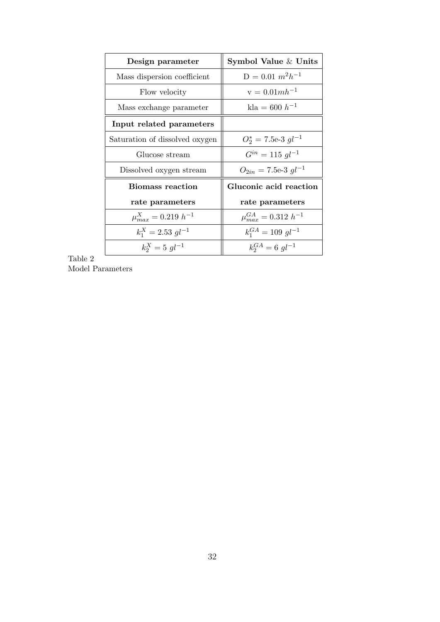| Design parameter               | Symbol Value & Units                        |  |
|--------------------------------|---------------------------------------------|--|
| Mass dispersion coefficient    | $D = 0.01$ $m^2 h^{-1}$                     |  |
| Flow velocity                  | $v = 0.01mh^{-1}$                           |  |
| Mass exchange parameter        | $\text{kla} = 600 \ h^{-1}$                 |  |
| Input related parameters       |                                             |  |
| Saturation of dissolved oxygen | $O_2^* = 7.5$ e-3 $gl^{-1}$                 |  |
| Glucose stream                 | $G^{in} = 115 \text{ } al^{-1}$             |  |
| Dissolved oxygen stream        | $O_{2in} = 7.5$ e-3 gl <sup>-1</sup>        |  |
| Biomass reaction               | Gluconic acid reaction                      |  |
| rate parameters                | rate parameters                             |  |
| $\mu_{max}^X = 0.219 h^{-1}$   | $\mu_{max}^{GA} = 0.312 h^{-1}$             |  |
| $k_1^X = 2.53 \; g l^{-1}$     | $k_1^{GA} = 109 \text{ } \text{ } q l^{-1}$ |  |
| $k_2^X = 5$ $ql^{-1}$          | $k_2^{GA} = 6 \text{ gl}^{-1}$              |  |

Table 2 Model Parameters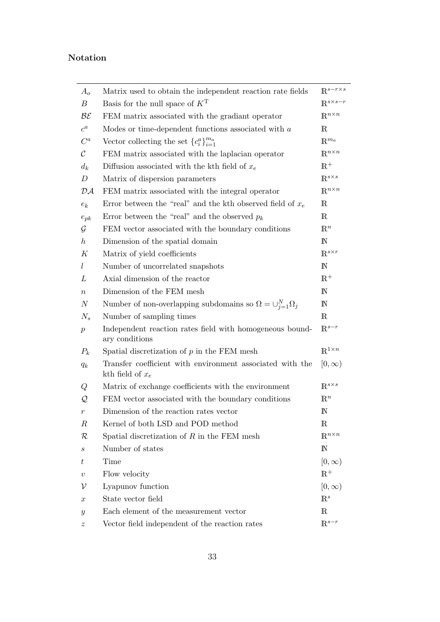## **Notation**

| $A_{o}$                  | Matrix used to obtain the independent reaction rate fields                      | $\mathbb{R}^{s-r\times s}$  |
|--------------------------|---------------------------------------------------------------------------------|-----------------------------|
| $\boldsymbol{B}$         | Basis for the null space of $KT$                                                | $\mathbb{R}^{s \times s-r}$ |
| $\mathcal{B}\mathcal{E}$ | FEM matrix associated with the gradiant operator                                | $\mathbb{R}^{n\times n}$    |
| $c^a$                    | Modes or time-dependent functions associated with $a$                           | $\mathbb R$                 |
| $C^a$                    | Vector collecting the set ${c_i^a}_{i=1}^{m_a}$                                 | $\mathbb{R}^{m_a}$          |
| $\mathcal{C}$            | FEM matrix associated with the laplacian operator                               | $\mathbb{R}^{n \times n}$   |
| $d_k$                    | Diffusion associated with the kth field of $x_e$                                | $\mathbb{R}^+$              |
| D                        | Matrix of dispersion parameters                                                 | $\mathbb{R}^{s \times s}$   |
| $\mathcal{D}\mathcal{A}$ | FEM matrix associated with the integral operator                                | $\mathbb{R}^{n \times n}$   |
| $e_k$                    | Error between the "real" and the kth observed field of $x_e$                    | $\mathbb R$                 |
| $e_{pk}$                 | Error between the "real" and the observed $p_k$                                 | $\mathbb R$                 |
| $\mathcal G$             | FEM vector associated with the boundary conditions                              | $\mathbb{R}^n$              |
| $\hbar$                  | Dimension of the spatial domain                                                 | N                           |
| К                        | Matrix of yield coefficients                                                    | $\mathbb{R}^{s \times r}$   |
| L                        | Number of uncorrelated snapshots                                                | $\mathbb N$                 |
| L                        | Axial dimension of the reactor                                                  | $\mathbb{R}^+$              |
| $\, n \,$                | Dimension of the FEM mesh                                                       | $\mathbb N$                 |
| $\boldsymbol{N}$         | Number of non-overlapping subdomains so $\Omega = \bigcup_{j=1}^{N} \Omega_j$   | $\mathbb N$                 |
| $N_s$                    | Number of sampling times                                                        | $\mathbbm{R}$               |
| $\boldsymbol{p}$         | Independent reaction rates field with homogeneous bound-<br>ary conditions      | $\mathbb{R}^{s-r}$          |
| $P_k$                    | Spatial discretization of $p$ in the FEM mesh                                   | $\mathbb{R}^{1 \times n}$   |
| $q_k$                    | Transfer coefficient with environment associated with the<br>kth field of $x_e$ | $[0,\infty)$                |
| Q                        | Matrix of exchange coefficients with the environment                            | $\mathbb{R}^{s \times s}$   |
| Q                        | FEM vector associated with the boundary conditions                              | $\mathbb{R}^n$              |
| $\,r\,$                  | Dimension of the reaction rates vector                                          | $\mathbb N$                 |
| $\boldsymbol{R}$         | Kernel of both LSD and POD method                                               | $\mathbb R$                 |
| $\cal R$                 | Spatial discretization of $R$ in the FEM mesh                                   | $\mathbb{R}^{n \times n}$   |
| $\boldsymbol{s}$         | Number of states                                                                | ${\rm I\!N}$                |
| t                        | Time                                                                            | $[0,\infty)$                |
| $\boldsymbol{v}$         | Flow velocity                                                                   | $\mathbb{R}^+$              |
| ν                        | Lyapunov function                                                               | $[0,\infty)$                |
| $\boldsymbol{x}$         | State vector field                                                              | $\mathbb{R}^s$              |
| $\boldsymbol{y}$         | Each element of the measurement vector                                          | $\mathbb R$                 |
| $\boldsymbol{z}$         | Vector field independent of the reaction rates                                  | $\mathbb{R}^{s-r}$          |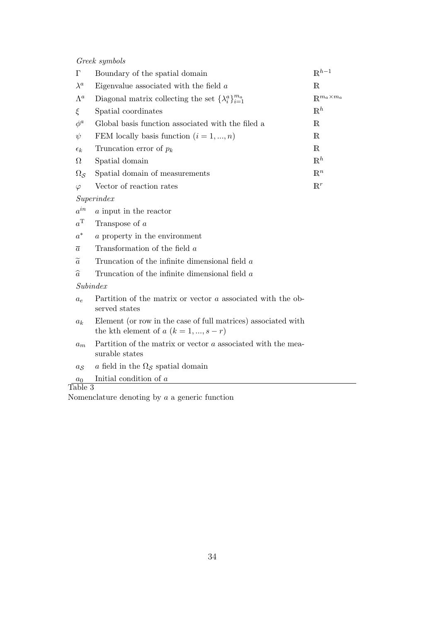*Greek symbols*

| $\Gamma$               | Boundary of the spatial domain                                   | $\mathbb{R}^{h-1}$            |  |  |
|------------------------|------------------------------------------------------------------|-------------------------------|--|--|
| $\lambda^a$            | Eigenvalue associated with the field $a$                         | $\mathbb{R}$                  |  |  |
| $\Lambda^a$            | Diagonal matrix collecting the set $\{\lambda_i^a\}_{i=1}^{m_a}$ | $\mathbb{R}^{m_a \times m_a}$ |  |  |
| $\xi$                  | Spatial coordinates                                              | $\mathbb{R}^h$                |  |  |
| $\phi^a$               | Global basis function associated with the filed a                | $\mathbb R$                   |  |  |
| $\psi$                 | FEM locally basis function $(i = 1, , n)$                        | $\mathbb{R}$                  |  |  |
| $\epsilon_k$           | Truncation error of $p_k$                                        | $\mathbb{R}$                  |  |  |
| $\Omega$               | Spatial domain                                                   | $\mathbb{R}^h$                |  |  |
| $\Omega_{\mathcal{S}}$ | Spatial domain of measurements                                   | $\mathbb{R}^n$                |  |  |
| $\varphi$              | Vector of reaction rates                                         | $\mathbb{R}^r$                |  |  |
| Superindex             |                                                                  |                               |  |  |
| $a^{in}$               | a input in the reactor                                           |                               |  |  |
| $a^{\mathrm{T}}$       | Transpose of $a$                                                 |                               |  |  |
| $a^\ast$               | a property in the environment                                    |                               |  |  |
| $\overline{a}$         | Transformation of the field a                                    |                               |  |  |
| $\alpha$               | Trupestion of the infinite dimensional field a                   |                               |  |  |

 $\tilde{a}$  Truncation of the infinite dimensional field *a*<br> $\hat{a}$  Truncation of the infinite dimensional field *a* <sup>b</sup>*<sup>a</sup>* Truncation of the infinite dimensional field *<sup>a</sup>*

*Subindex*

- $a_e$  Partition of the matrix or vector *a* associated with the observed states
- *a<sup>k</sup>* Element (or row in the case of full matrices) associated with the kth element of  $a (k = 1, ..., s - r)$
- *a<sup>m</sup>* Partition of the matrix or vector *a* associated with the measurable states
- $a_{\mathcal{S}}$  *a* field in the  $\Omega_{\mathcal{S}}$  spatial domain

Initial condition of *a*  $\frac{a_0}{\text{Table 3}}$ 

Nomenclature denoting by *a* a generic function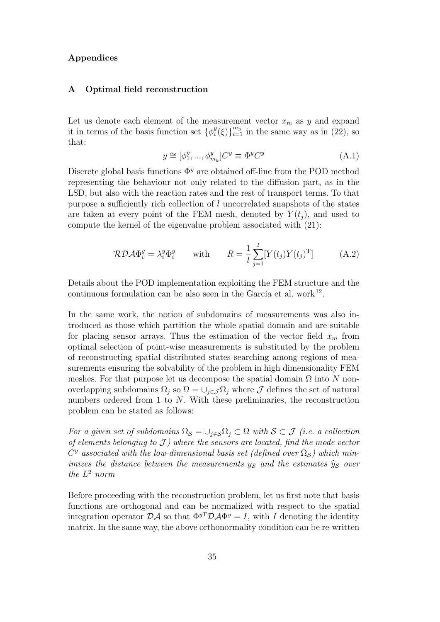## **Appendices**

### **A Optimal field reconstruction**

Let us denote each element of the measurement vector  $x_m$  as  $y$  and expand it in terms of the basis function set  $\{\phi_i^y\}$  $a_i^y(\xi)$ <sup>*m*</sup><sub>*i*</sub></sub> in the same way as in (22), so that:

$$
y \cong [\phi_1^y, ..., \phi_{m_k}^y]C^y \equiv \Phi^y C^y \tag{A.1}
$$

Discrete global basis functions  $\Phi^y$  are obtained off-line from the POD method representing the behaviour not only related to the diffusion part, as in the LSD, but also with the reaction rates and the rest of transport terms. To that purpose a sufficiently rich collection of *l* uncorrelated snapshots of the states are taken at every point of the FEM mesh, denoted by  $Y(t_i)$ , and used to compute the kernel of the eigenvalue problem associated with (21):

$$
\mathcal{RDA}\Phi_i^y = \lambda_i^y \Phi_i^y \qquad \text{with} \qquad R = \frac{1}{l} \sum_{j=1}^l [Y(t_j)Y(t_j)^T] \tag{A.2}
$$

Details about the POD implementation exploiting the FEM structure and the continuous formulation can be also seen in the García et al. work $^{12}$ .

In the same work, the notion of subdomains of measurements was also introduced as those which partition the whole spatial domain and are suitable for placing sensor arrays. Thus the estimation of the vector field  $x<sub>m</sub>$  from optimal selection of point-wise measurements is substituted by the problem of reconstructing spatial distributed states searching among regions of measurements ensuring the solvability of the problem in high dimensionality FEM meshes. For that purpose let us decompose the spatial domain  $\Omega$  into  $N$  nonoverlapping subdomains  $\Omega_j$  so  $\Omega = \cup_{j \in \mathcal{J}} \Omega_j$  where  $\mathcal J$  defines the set of natural numbers ordered from 1 to *N*. With these preliminaries, the reconstruction problem can be stated as follows:

*For a given set of subdomains*  $\Omega_{\mathcal{S}} = \cup_{j \in \mathcal{S}} \Omega_j \subset \Omega$  *with*  $\mathcal{S} \subset \mathcal{J}$  *(i.e. a collection of elements belonging to J ) where the sensors are located, find the mode vector*  $C<sup>y</sup>$  *associated with the low-dimensional basis set (defined over*  $\Omega_{\mathcal{S}}$ ) which min*imizes the distance between the measurements*  $y<sub>S</sub>$  *and the estimates*  $\hat{y}<sub>S</sub>$  *over the L* <sup>2</sup> *norm*

Before proceeding with the reconstruction problem, let us first note that basis functions are orthogonal and can be normalized with respect to the spatial integration operator  $\mathcal{D}\mathcal{A}$  so that  $\Phi^{yT}\mathcal{D}\mathcal{A}\Phi^{y} = I$ , with *I* denoting the identity matrix. In the same way, the above orthonormality condition can be re-written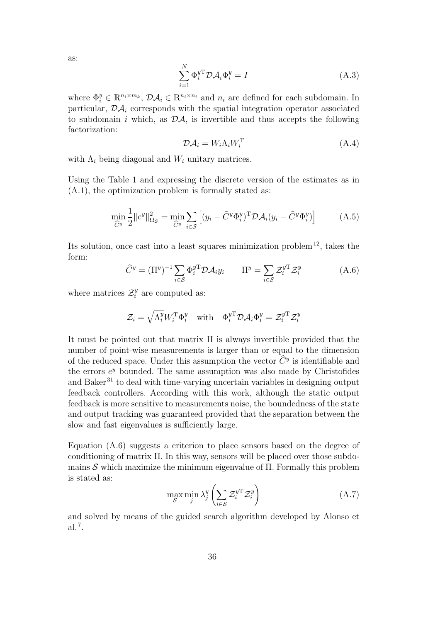as:

$$
\sum_{i=1}^{N} \Phi_i^{y}^{\mathrm{T}} \mathcal{D} \mathcal{A}_i \Phi_i^{y} = I
$$
\n(A.3)

where  $\Phi_i^y \in \mathbb{R}^{n_i \times m_k}$ ,  $\mathcal{D}\mathcal{A}_i \in \mathbb{R}^{n_i \times n_i}$  and  $n_i$  are defined for each subdomain. In particular,  $\mathcal{D}\mathcal{A}_i$  corresponds with the spatial integration operator associated to subdomain *i* which, as  $\mathcal{D}A$ , is invertible and thus accepts the following factorization:

$$
\mathcal{D}\mathcal{A}_i = W_i \Lambda_i W_i^{\mathrm{T}} \tag{A.4}
$$

with  $\Lambda_i$  being diagonal and  $W_i$  unitary matrices.

Using the Table 1 and expressing the discrete version of the estimates as in (A.1), the optimization problem is formally stated as:

$$
\min_{\widehat{C}^y} \frac{1}{2} \|e^y\|_{\Omega_{\mathcal{S}}}^2 = \min_{\widehat{C}^y} \sum_{i \in \mathcal{S}} \left[ (y_i - \widehat{C}^y \Phi_i^y)^{\mathrm{T}} \mathcal{D} \mathcal{A}_i (y_i - \widehat{C}^y \Phi_i^y) \right] \tag{A.5}
$$

Its solution, once cast into a least squares minimization problem<sup>12</sup>, takes the form:

$$
\widehat{C}^y = (\Pi^y)^{-1} \sum_{i \in \mathcal{S}} \Phi_i^{yT} \mathcal{D} \mathcal{A}_i y_i \qquad \Pi^y = \sum_{i \in \mathcal{S}} \mathcal{Z}_i^{yT} \mathcal{Z}_i^y \tag{A.6}
$$

where matrices  $\mathcal{Z}_i^y$  are computed as:

$$
\mathcal{Z}_i = \sqrt{\Lambda_i^y} W_i^{\mathrm{T}} \Phi_i^y \quad \text{with} \quad \Phi_i^{y\mathrm{T}} \mathcal{D} \mathcal{A}_i \Phi_i^y = \mathcal{Z}_i^{y\mathrm{T}} \mathcal{Z}_i^y
$$

It must be pointed out that matrix Π is always invertible provided that the number of point-wise measurements is larger than or equal to the dimension of the reduced space. Under this assumption the vector  $\tilde{C}^y$  is identifiable and the errors  $e^y$  bounded. The same assumption was also made by Christofides and Baker<sup>31</sup> to deal with time-varying uncertain variables in designing output feedback controllers. According with this work, although the static output feedback is more sensitive to measurements noise, the boundedness of the state and output tracking was guaranteed provided that the separation between the slow and fast eigenvalues is sufficiently large.

Equation (A.6) suggests a criterion to place sensors based on the degree of conditioning of matrix Π. In this way, sensors will be placed over those subdomains *S* which maximize the minimum eigenvalue of Π. Formally this problem is stated as:

$$
\max_{\mathcal{S}} \min_{j} \lambda_j^y \left( \sum_{i \in \mathcal{S}} \mathcal{Z}_i^{y} \mathcal{Z}_i^y \right) \tag{A.7}
$$

and solved by means of the guided search algorithm developed by Alonso et al.<sup>7</sup> .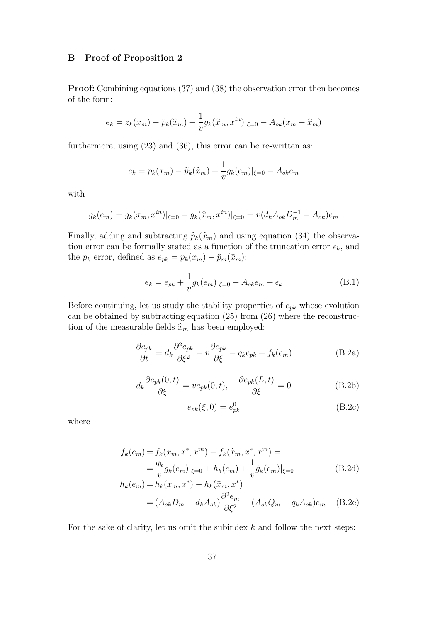## **B Proof of Proposition 2**

**Proof:** Combining equations (37) and (38) the observation error then becomes of the form:

$$
e_k = z_k(x_m) - \tilde{p}_k(\hat{x}_m) + \frac{1}{v} g_k(\hat{x}_m, x^{in})|_{\xi=0} - A_{ok}(x_m - \hat{x}_m)
$$

furthermore, using (23) and (36), this error can be re-written as:

$$
e_k = p_k(x_m) - \tilde{p}_k(\hat{x}_m) + \frac{1}{v}g_k(e_m)|_{\xi=0} - A_{ok}e_m
$$

with

$$
g_k(e_m) = g_k(x_m, x^{in})|_{\xi=0} - g_k(\hat{x}_m, x^{in})|_{\xi=0} = v(d_k A_{ok} D_m^{-1} - A_{ok})e_m
$$

Finally, adding and subtracting  $\hat{p}_k(\hat{x}_m)$  and using equation (34) the observation error can be formally stated as a function of the truncation error  $\epsilon_k$ , and the  $p_k$  error, defined as  $e_{pk} = p_k(x_m) - \hat{p}_m(\hat{x}_m)$ :

$$
e_k = e_{pk} + \frac{1}{v} g_k(e_m)|_{\xi=0} - A_{ok}e_m + \epsilon_k
$$
 (B.1)

Before continuing, let us study the stability properties of *epk* whose evolution can be obtained by subtracting equation (25) from (26) where the reconstruction of the measurable fields  $\hat{x}_m$  has been employed:

$$
\frac{\partial e_{pk}}{\partial t} = d_k \frac{\partial^2 e_{pk}}{\partial \xi^2} - v \frac{\partial e_{pk}}{\partial \xi} - q_k e_{pk} + f_k(e_m)
$$
(B.2a)

$$
d_k \frac{\partial e_{pk}(0,t)}{\partial \xi} = v e_{pk}(0,t), \quad \frac{\partial e_{pk}(L,t)}{\partial \xi} = 0
$$
 (B.2b)

$$
e_{pk}(\xi,0) = e_{pk}^0 \tag{B.2c}
$$

where

$$
f_k(e_m) = f_k(x_m, x^*, x^{in}) - f_k(\hat{x}_m, x^*, x^{in}) =
$$
  
=  $\frac{q_k}{v} g_k(e_m)|_{\xi=0} + h_k(e_m) + \frac{1}{v} \dot{g}_k(e_m)|_{\xi=0}$   

$$
h_k(e_m) = h_k(x_m, x^*) - h_k(\hat{x}_m, x^*)
$$
 (B.2d)

$$
= (A_{ok}D_m - d_k A_{ok})\frac{\partial^2 e_m}{\partial \xi^2} - (A_{ok}Q_m - q_k A_{ok})e_m \quad \text{(B.2e)}
$$

For the sake of clarity, let us omit the subindex *k* and follow the next steps: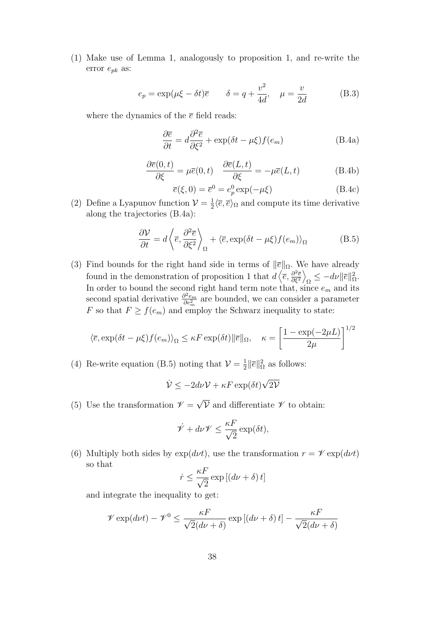(1) Make use of Lemma 1, analogously to proposition 1, and re-write the error *epk* as:

$$
e_p = \exp(\mu \xi - \delta t)\overline{e} \qquad \delta = q + \frac{v^2}{4d}, \quad \mu = \frac{v}{2d} \tag{B.3}
$$

where the dynamics of the  $\bar{e}$  field reads:

$$
\frac{\partial \overline{e}}{\partial t} = d \frac{\partial^2 \overline{e}}{\partial \xi^2} + \exp(\delta t - \mu \xi) f(e_m)
$$
 (B.4a)

$$
\frac{\partial \overline{e}(0,t)}{\partial \xi} = \mu \overline{e}(0,t) \quad \frac{\partial \overline{e}(L,t)}{\partial \xi} = -\mu \overline{e}(L,t) \tag{B.4b}
$$

$$
\overline{e}(\xi,0) = \overline{e}^0 = e_p^0 \exp(-\mu\xi)
$$
 (B.4c)

(2) Define a Lyapunov function  $\mathcal{V} = \frac{1}{2}$  $\frac{1}{2}\langle \bar{e}, \bar{e} \rangle_{\Omega}$  and compute its time derivative along the trajectories (B.4a):

$$
\frac{\partial V}{\partial t} = d \left\langle \overline{e}, \frac{\partial^2 \overline{e}}{\partial \xi^2} \right\rangle_{\Omega} + \left\langle \overline{e}, \exp(\delta t - \mu \xi) f(e_m) \right\rangle_{\Omega} \tag{B.5}
$$

(3) Find bounds for the right hand side in terms of  $\|\bar{e}\|_{\Omega}$ . We have already found in the demonstration of proposition 1 that  $\vec{d}$   $\langle \vec{e}, \frac{\partial^2 \vec{e}}{\partial \epsilon^2} \rangle$ *∂ξ*<sup>2</sup>  $\setminus$  $\Omega \leq -d\nu$   $\|\overline{e}\|^2_{\Omega}.$ In order to bound the second right hand term note that, since *e<sup>m</sup>* and its second spatial derivative *<sup>∂</sup>* <sup>2</sup>*e<sup>m</sup>*  $\frac{\partial^2 e_m}{\partial e_m^2}$  are bounded, we can consider a parameter *F* so that  $F \ge f(e_m)$  and employ the Schwarz inequality to state:

$$
\langle \overline{e}, \exp(\delta t - \mu \xi) f(e_m) \rangle_{\Omega} \le \kappa F \exp(\delta t) \|\overline{e}\|_{\Omega}, \quad \kappa = \left[ \frac{1 - \exp(-2\mu L)}{2\mu} \right]^{1/2}
$$

(4) Re-write equation (B.5) noting that  $\mathcal{V} = \frac{1}{2}$  $\frac{1}{2}$ || $\overline{e}$ || $\frac{2}{Ω}$  as follows:

$$
\dot{\mathcal{V}} \le -2d\nu\mathcal{V} + \kappa F \exp(\delta t) \sqrt{2\mathcal{V}}
$$

(5) Use the transformation  $\mathscr{V} =$ *√ V* and differentiate *V* to obtain:

$$
\dot{\mathscr{V}} + d\nu \mathscr{V} \leq \frac{\kappa F}{\sqrt{2}} \exp(\delta t),
$$

(6) Multiply both sides by  $exp(d\nu t)$ , use the transformation  $r = \mathcal{V} exp(d\nu t)$ so that

$$
\dot{r} \le \frac{\kappa F}{\sqrt{2}} \exp\left[ \left( d\nu + \delta \right) t \right]
$$

and integrate the inequality to get:

$$
\mathcal{V}\exp(d\nu t) - \mathcal{V}^0 \le \frac{\kappa F}{\sqrt{2}(d\nu + \delta)} \exp\left[(d\nu + \delta)t\right] - \frac{\kappa F}{\sqrt{2}(d\nu + \delta)}
$$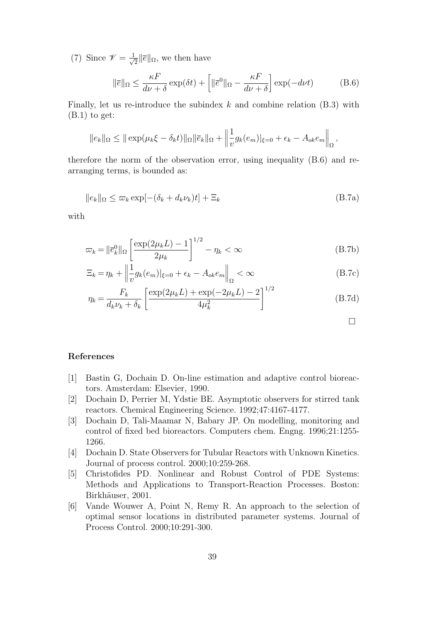(7) Since  $\mathscr{V} = \frac{1}{\sqrt{2}}$  $\frac{1}{2}$ ||*e*||<sub>Ω</sub>, we then have

$$
\|\overline{e}\|_{\Omega} \le \frac{\kappa F}{d\nu + \delta} \exp(\delta t) + \left[ \|\overline{e}^{0}\|_{\Omega} - \frac{\kappa F}{d\nu + \delta} \right] \exp(-d\nu t) \tag{B.6}
$$

Finally, let us re-introduce the subindex *k* and combine relation (B.3) with  $(B.1)$  to get:

$$
||e_k||_{\Omega} \le ||\exp(\mu_k \xi - \delta_k t)||_{\Omega} ||\overline{e}_k||_{\Omega} + \left\|\frac{1}{v}g_k(e_m)|_{\xi=0} + \epsilon_k - A_{ok}e_m\right\|_{\Omega},
$$

therefore the norm of the observation error, using inequality (B.6) and rearranging terms, is bounded as:

$$
||e_k||_{\Omega} \le \varpi_k \exp[-(\delta_k + d_k \nu_k)t] + \Xi_k
$$
\n(B.7a)

with

$$
\varpi_k = \left\| \overline{e}_k^0 \right\|_{\Omega} \left[ \frac{\exp(2\mu_k L) - 1}{2\mu_k} \right]^{1/2} - \eta_k < \infty \tag{B.7b}
$$

$$
\Xi_k = \eta_k + \left\| \frac{1}{v} g_k(e_m) \right\|_{\xi=0} + \epsilon_k - A_{ok} e_m \right\|_{\Omega} < \infty \tag{B.7c}
$$

$$
\eta_k = \frac{F_k}{d_k \nu_k + \delta_k} \left[ \frac{\exp(2\mu_k L) + \exp(-2\mu_k L) - 2}{4\mu_k^2} \right]^{1/2}
$$
(B.7d)

 $\Box$ 

## **References**

- [1] Bastin G, Dochain D. On-line estimation and adaptive control bioreactors. Amsterdam: Elsevier, 1990.
- [2] Dochain D, Perrier M, Ydstie BE. Asymptotic observers for stirred tank reactors. Chemical Engineering Science. 1992;47:4167-4177.
- [3] Dochain D, Tali-Maamar N, Babary JP. On modelling, monitoring and control of fixed bed bioreactors. Computers chem. Engng. 1996;21:1255- 1266.
- [4] Dochain D. State Observers for Tubular Reactors with Unknown Kinetics. Journal of process control. 2000;10:259-268.
- [5] Christofides PD. Nonlinear and Robust Control of PDE Systems: Methods and Applications to Transport-Reaction Processes. Boston: Birkhäuser, 2001.
- [6] Vande Wouwer A, Point N, Remy R. An approach to the selection of optimal sensor locations in distributed parameter systems. Journal of Process Control. 2000;10:291-300.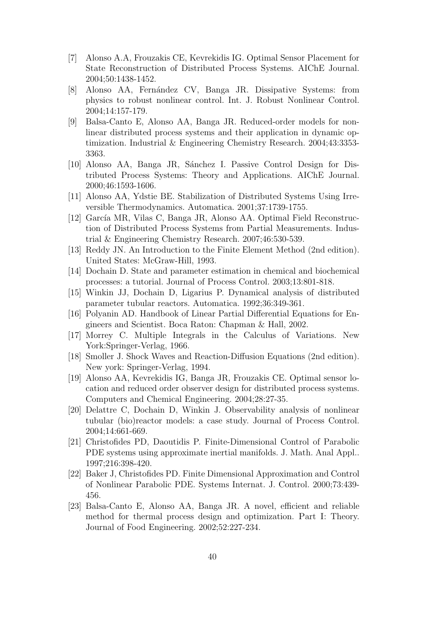- [7] Alonso A.A, Frouzakis CE, Kevrekidis IG. Optimal Sensor Placement for State Reconstruction of Distributed Process Systems. AIChE Journal. 2004;50:1438-1452.
- [8] Alonso AA, Fern´andez CV, Banga JR. Dissipative Systems: from physics to robust nonlinear control. Int. J. Robust Nonlinear Control. 2004;14:157-179.
- [9] Balsa-Canto E, Alonso AA, Banga JR. Reduced-order models for nonlinear distributed process systems and their application in dynamic optimization. Industrial & Engineering Chemistry Research. 2004;43:3353- 3363.
- [10] Alonso AA, Banga JR, S´anchez I. Passive Control Design for Distributed Process Systems: Theory and Applications. AIChE Journal. 2000;46:1593-1606.
- [11] Alonso AA, Ydstie BE. Stabilization of Distributed Systems Using Irreversible Thermodynamics. Automatica. 2001;37:1739-1755.
- [12] García MR, Vilas C, Banga JR, Alonso AA. Optimal Field Reconstruction of Distributed Process Systems from Partial Measurements. Industrial & Engineering Chemistry Research. 2007;46:530-539.
- [13] Reddy JN. An Introduction to the Finite Element Method (2nd edition). United States: McGraw-Hill, 1993.
- [14] Dochain D. State and parameter estimation in chemical and biochemical processes: a tutorial. Journal of Process Control. 2003;13:801-818.
- [15] Winkin JJ, Dochain D, Ligarius P. Dynamical analysis of distributed parameter tubular reactors. Automatica. 1992;36:349-361.
- [16] Polyanin AD. Handbook of Linear Partial Differential Equations for Engineers and Scientist. Boca Raton: Chapman & Hall, 2002.
- [17] Morrey C. Multiple Integrals in the Calculus of Variations. New York:Springer-Verlag, 1966.
- [18] Smoller J. Shock Waves and Reaction-Diffusion Equations (2nd edition). New york: Springer-Verlag, 1994.
- [19] Alonso AA, Kevrekidis IG, Banga JR, Frouzakis CE. Optimal sensor location and reduced order observer design for distributed process systems. Computers and Chemical Engineering. 2004;28:27-35.
- [20] Delattre C, Dochain D, Winkin J. Observability analysis of nonlinear tubular (bio)reactor models: a case study. Journal of Process Control. 2004;14:661-669.
- [21] Christofides PD, Daoutidis P. Finite-Dimensional Control of Parabolic PDE systems using approximate inertial manifolds. J. Math. Anal Appl.. 1997;216:398-420.
- [22] Baker J, Christofides PD. Finite Dimensional Approximation and Control of Nonlinear Parabolic PDE. Systems Internat. J. Control. 2000;73:439- 456.
- [23] Balsa-Canto E, Alonso AA, Banga JR. A novel, efficient and reliable method for thermal process design and optimization. Part I: Theory. Journal of Food Engineering. 2002;52:227-234.